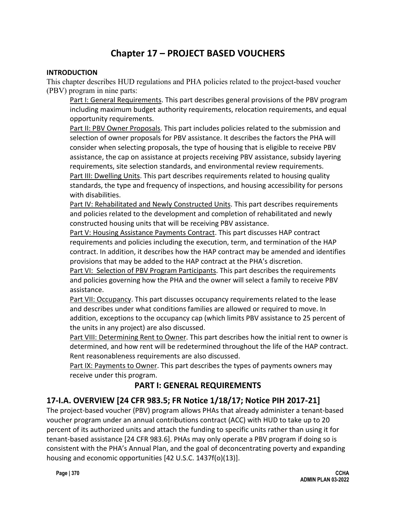# **Chapter 17 – PROJECT BASED VOUCHERS**

#### **INTRODUCTION**

This chapter describes HUD regulations and PHA policies related to the project-based voucher (PBV) program in nine parts:

Part I: General Requirements. This part describes general provisions of the PBV program including maximum budget authority requirements, relocation requirements, and equal opportunity requirements.

Part II: PBV Owner Proposals. This part includes policies related to the submission and selection of owner proposals for PBV assistance. It describes the factors the PHA will consider when selecting proposals, the type of housing that is eligible to receive PBV assistance, the cap on assistance at projects receiving PBV assistance, subsidy layering requirements, site selection standards, and environmental review requirements. Part III: Dwelling Units. This part describes requirements related to housing quality

standards, the type and frequency of inspections, and housing accessibility for persons with disabilities.

Part IV: Rehabilitated and Newly Constructed Units. This part describes requirements and policies related to the development and completion of rehabilitated and newly constructed housing units that will be receiving PBV assistance.

Part V: Housing Assistance Payments Contract. This part discusses HAP contract requirements and policies including the execution, term, and termination of the HAP contract. In addition, it describes how the HAP contract may be amended and identifies provisions that may be added to the HAP contract at the PHA's discretion.

Part VI: Selection of PBV Program Participants. This part describes the requirements and policies governing how the PHA and the owner will select a family to receive PBV assistance.

Part VII: Occupancy. This part discusses occupancy requirements related to the lease and describes under what conditions families are allowed or required to move. In addition, exceptions to the occupancy cap (which limits PBV assistance to 25 percent of the units in any project) are also discussed.

Part VIII: Determining Rent to Owner. This part describes how the initial rent to owner is determined, and how rent will be redetermined throughout the life of the HAP contract. Rent reasonableness requirements are also discussed.

Part IX: Payments to Owner. This part describes the types of payments owners may receive under this program.

## **PART I: GENERAL REQUIREMENTS**

## **17-I.A. OVERVIEW [24 CFR 983.5; FR Notice 1/18/17; Notice PIH 2017-21]**

The project-based voucher (PBV) program allows PHAs that already administer a tenant-based voucher program under an annual contributions contract (ACC) with HUD to take up to 20 percent of its authorized units and attach the funding to specific units rather than using it for tenant-based assistance [24 CFR 983.6]. PHAs may only operate a PBV program if doing so is consistent with the PHA's Annual Plan, and the goal of deconcentrating poverty and expanding housing and economic opportunities [42 U.S.C. 1437f(o)(13)].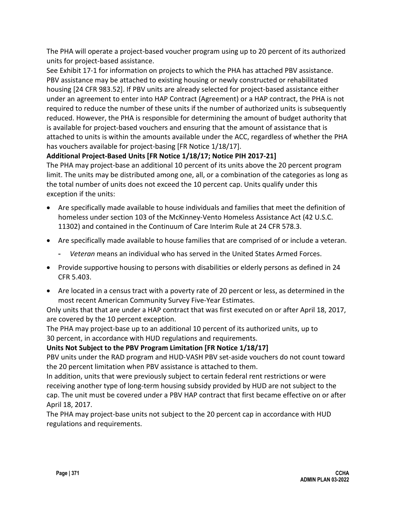The PHA will operate a project-based voucher program using up to 20 percent of its authorized units for project-based assistance.

See Exhibit 17-1 for information on projects to which the PHA has attached PBV assistance. PBV assistance may be attached to existing housing or newly constructed or rehabilitated housing [24 CFR 983.52]. If PBV units are already selected for project-based assistance either under an agreement to enter into HAP Contract (Agreement) or a HAP contract, the PHA is not required to reduce the number of these units if the number of authorized units is subsequently reduced. However, the PHA is responsible for determining the amount of budget authority that is available for project-based vouchers and ensuring that the amount of assistance that is attached to units is within the amounts available under the ACC, regardless of whether the PHA has vouchers available for project-basing [FR Notice 1/18/17].

## **Additional Project-Based Units [FR Notice 1/18/17; Notice PIH 2017-21]**

The PHA may project-base an additional 10 percent of its units above the 20 percent program limit. The units may be distributed among one, all, or a combination of the categories as long as the total number of units does not exceed the 10 percent cap. Units qualify under this exception if the units:

- Are specifically made available to house individuals and families that meet the definition of homeless under section 103 of the McKinney-Vento Homeless Assistance Act (42 U.S.C. 11302) and contained in the Continuum of Care Interim Rule at 24 CFR 578.3.
- Are specifically made available to house families that are comprised of or include a veteran.
	- *Veteran* means an individual who has served in the United States Armed Forces.
- Provide supportive housing to persons with disabilities or elderly persons as defined in 24 CFR 5.403.
- Are located in a census tract with a poverty rate of 20 percent or less, as determined in the most recent American Community Survey Five-Year Estimates.

Only units that that are under a HAP contract that was first executed on or after April 18, 2017, are covered by the 10 percent exception.

The PHA may project-base up to an additional 10 percent of its authorized units, up to 30 percent, in accordance with HUD regulations and requirements.

## **Units Not Subject to the PBV Program Limitation [FR Notice 1/18/17]**

PBV units under the RAD program and HUD-VASH PBV set-aside vouchers do not count toward the 20 percent limitation when PBV assistance is attached to them.

In addition, units that were previously subject to certain federal rent restrictions or were receiving another type of long-term housing subsidy provided by HUD are not subject to the cap. The unit must be covered under a PBV HAP contract that first became effective on or after April 18, 2017.

The PHA may project-base units not subject to the 20 percent cap in accordance with HUD regulations and requirements.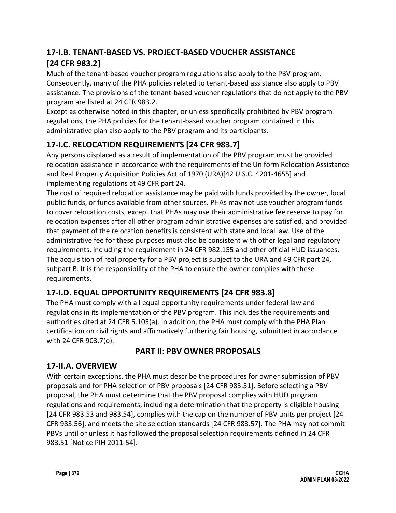# **17-I.B. TENANT-BASED VS. PROJECT-BASED VOUCHER ASSISTANCE [24 CFR 983.2]**

Much of the tenant-based voucher program regulations also apply to the PBV program. Consequently, many of the PHA policies related to tenant-based assistance also apply to PBV assistance. The provisions of the tenant-based voucher regulations that do not apply to the PBV program are listed at 24 CFR 983.2.

Except as otherwise noted in this chapter, or unless specifically prohibited by PBV program regulations, the PHA policies for the tenant-based voucher program contained in this administrative plan also apply to the PBV program and its participants.

# **17-I.C. RELOCATION REQUIREMENTS [24 CFR 983.7]**

Any persons displaced as a result of implementation of the PBV program must be provided relocation assistance in accordance with the requirements of the Uniform Relocation Assistance and Real Property Acquisition Policies Act of 1970 (URA)[42 U.S.C. 4201-4655] and implementing regulations at 49 CFR part 24.

The cost of required relocation assistance may be paid with funds provided by the owner, local public funds, or funds available from other sources. PHAs may not use voucher program funds to cover relocation costs, except that PHAs may use their administrative fee reserve to pay for relocation expenses after all other program administrative expenses are satisfied, and provided that payment of the relocation benefits is consistent with state and local law. Use of the administrative fee for these purposes must also be consistent with other legal and regulatory requirements, including the requirement in 24 CFR 982.155 and other official HUD issuances. The acquisition of real property for a PBV project is subject to the URA and 49 CFR part 24, subpart B. It is the responsibility of the PHA to ensure the owner complies with these requirements.

# **17-I.D. EQUAL OPPORTUNITY REQUIREMENTS [24 CFR 983.8]**

The PHA must comply with all equal opportunity requirements under federal law and regulations in its implementation of the PBV program. This includes the requirements and authorities cited at 24 CFR 5.105(a). In addition, the PHA must comply with the PHA Plan certification on civil rights and affirmatively furthering fair housing, submitted in accordance with 24 CFR 903.7(o).

# **PART II: PBV OWNER PROPOSALS**

## **17-II.A. OVERVIEW**

With certain exceptions, the PHA must describe the procedures for owner submission of PBV proposals and for PHA selection of PBV proposals [24 CFR 983.51]. Before selecting a PBV proposal, the PHA must determine that the PBV proposal complies with HUD program regulations and requirements, including a determination that the property is eligible housing [24 CFR 983.53 and 983.54], complies with the cap on the number of PBV units per project [24 CFR 983.56], and meets the site selection standards [24 CFR 983.57]. The PHA may not commit PBVs until or unless it has followed the proposal selection requirements defined in 24 CFR 983.51 [Notice PIH 2011-54].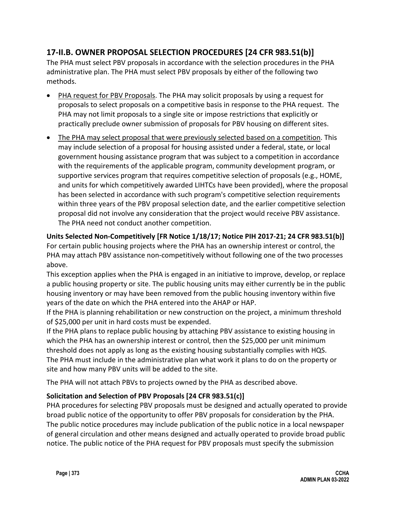# **17-II.B. OWNER PROPOSAL SELECTION PROCEDURES [24 CFR 983.51(b)]**

The PHA must select PBV proposals in accordance with the selection procedures in the PHA administrative plan. The PHA must select PBV proposals by either of the following two methods.

- PHA request for PBV Proposals. The PHA may solicit proposals by using a request for proposals to select proposals on a competitive basis in response to the PHA request. The PHA may not limit proposals to a single site or impose restrictions that explicitly or practically preclude owner submission of proposals for PBV housing on different sites.
- The PHA may select proposal that were previously selected based on a competition. This may include selection of a proposal for housing assisted under a federal, state, or local government housing assistance program that was subject to a competition in accordance with the requirements of the applicable program, community development program, or supportive services program that requires competitive selection of proposals (e.g., HOME, and units for which competitively awarded LIHTCs have been provided), where the proposal has been selected in accordance with such program's competitive selection requirements within three years of the PBV proposal selection date, and the earlier competitive selection proposal did not involve any consideration that the project would receive PBV assistance. The PHA need not conduct another competition.

**Units Selected Non-Competitively [FR Notice 1/18/17; Notice PIH 2017-21; 24 CFR 983.51(b)]** For certain public housing projects where the PHA has an ownership interest or control, the PHA may attach PBV assistance non-competitively without following one of the two processes above.

This exception applies when the PHA is engaged in an initiative to improve, develop, or replace a public housing property or site. The public housing units may either currently be in the public housing inventory or may have been removed from the public housing inventory within five years of the date on which the PHA entered into the AHAP or HAP.

If the PHA is planning rehabilitation or new construction on the project, a minimum threshold of \$25,000 per unit in hard costs must be expended.

If the PHA plans to replace public housing by attaching PBV assistance to existing housing in which the PHA has an ownership interest or control, then the \$25,000 per unit minimum threshold does not apply as long as the existing housing substantially complies with HQS. The PHA must include in the administrative plan what work it plans to do on the property or site and how many PBV units will be added to the site.

The PHA will not attach PBVs to projects owned by the PHA as described above.

## **Solicitation and Selection of PBV Proposals [24 CFR 983.51(c)]**

PHA procedures for selecting PBV proposals must be designed and actually operated to provide broad public notice of the opportunity to offer PBV proposals for consideration by the PHA. The public notice procedures may include publication of the public notice in a local newspaper of general circulation and other means designed and actually operated to provide broad public notice. The public notice of the PHA request for PBV proposals must specify the submission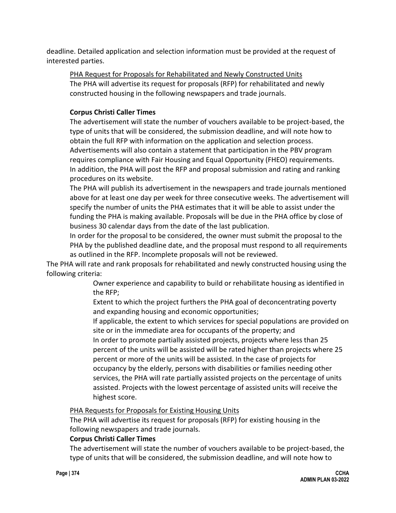deadline. Detailed application and selection information must be provided at the request of interested parties.

## PHA Request for Proposals for Rehabilitated and Newly Constructed Units

The PHA will advertise its request for proposals (RFP) for rehabilitated and newly constructed housing in the following newspapers and trade journals.

## **Corpus Christi Caller Times**

The advertisement will state the number of vouchers available to be project-based, the type of units that will be considered, the submission deadline, and will note how to obtain the full RFP with information on the application and selection process. Advertisements will also contain a statement that participation in the PBV program requires compliance with Fair Housing and Equal Opportunity (FHEO) requirements. In addition, the PHA will post the RFP and proposal submission and rating and ranking procedures on its website.

The PHA will publish its advertisement in the newspapers and trade journals mentioned above for at least one day per week for three consecutive weeks. The advertisement will specify the number of units the PHA estimates that it will be able to assist under the funding the PHA is making available. Proposals will be due in the PHA office by close of business 30 calendar days from the date of the last publication.

In order for the proposal to be considered, the owner must submit the proposal to the PHA by the published deadline date, and the proposal must respond to all requirements as outlined in the RFP. Incomplete proposals will not be reviewed.

The PHA will rate and rank proposals for rehabilitated and newly constructed housing using the following criteria:

> Owner experience and capability to build or rehabilitate housing as identified in the RFP;

Extent to which the project furthers the PHA goal of deconcentrating poverty and expanding housing and economic opportunities;

If applicable, the extent to which services for special populations are provided on site or in the immediate area for occupants of the property; and

In order to promote partially assisted projects, projects where less than 25 percent of the units will be assisted will be rated higher than projects where 25 percent or more of the units will be assisted. In the case of projects for occupancy by the elderly, persons with disabilities or families needing other services, the PHA will rate partially assisted projects on the percentage of units assisted. Projects with the lowest percentage of assisted units will receive the highest score.

#### PHA Requests for Proposals for Existing Housing Units

The PHA will advertise its request for proposals (RFP) for existing housing in the following newspapers and trade journals.

#### **Corpus Christi Caller Times**

The advertisement will state the number of vouchers available to be project-based, the type of units that will be considered, the submission deadline, and will note how to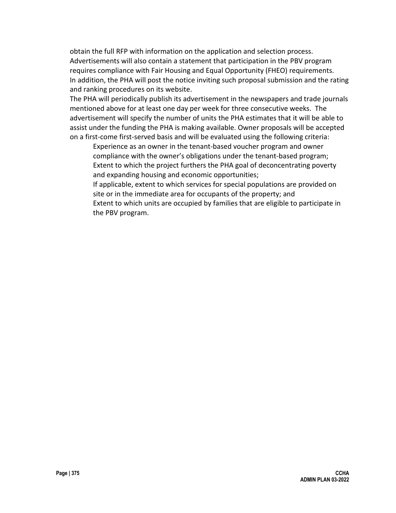obtain the full RFP with information on the application and selection process. Advertisements will also contain a statement that participation in the PBV program requires compliance with Fair Housing and Equal Opportunity (FHEO) requirements. In addition, the PHA will post the notice inviting such proposal submission and the rating and ranking procedures on its website.

The PHA will periodically publish its advertisement in the newspapers and trade journals mentioned above for at least one day per week for three consecutive weeks. The advertisement will specify the number of units the PHA estimates that it will be able to assist under the funding the PHA is making available. Owner proposals will be accepted on a first-come first-served basis and will be evaluated using the following criteria:

Experience as an owner in the tenant-based voucher program and owner compliance with the owner's obligations under the tenant-based program; Extent to which the project furthers the PHA goal of deconcentrating poverty and expanding housing and economic opportunities;

If applicable, extent to which services for special populations are provided on site or in the immediate area for occupants of the property; and Extent to which units are occupied by families that are eligible to participate in the PBV program.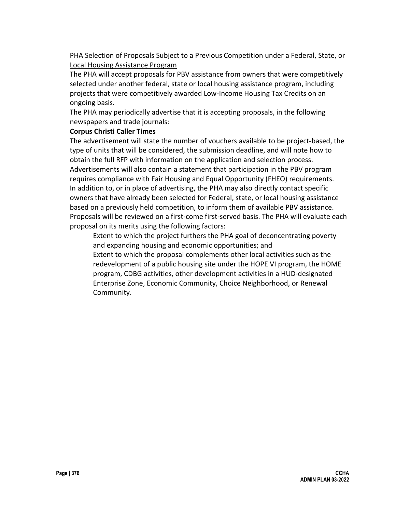PHA Selection of Proposals Subject to a Previous Competition under a Federal, State, or Local Housing Assistance Program

The PHA will accept proposals for PBV assistance from owners that were competitively selected under another federal, state or local housing assistance program, including projects that were competitively awarded Low-Income Housing Tax Credits on an ongoing basis.

The PHA may periodically advertise that it is accepting proposals, in the following newspapers and trade journals:

#### **Corpus Christi Caller Times**

The advertisement will state the number of vouchers available to be project-based, the type of units that will be considered, the submission deadline, and will note how to obtain the full RFP with information on the application and selection process. Advertisements will also contain a statement that participation in the PBV program requires compliance with Fair Housing and Equal Opportunity (FHEO) requirements. In addition to, or in place of advertising, the PHA may also directly contact specific owners that have already been selected for Federal, state, or local housing assistance based on a previously held competition, to inform them of available PBV assistance. Proposals will be reviewed on a first-come first-served basis. The PHA will evaluate each proposal on its merits using the following factors:

Extent to which the project furthers the PHA goal of deconcentrating poverty and expanding housing and economic opportunities; and

Extent to which the proposal complements other local activities such as the redevelopment of a public housing site under the HOPE VI program, the HOME program, CDBG activities, other development activities in a HUD-designated Enterprise Zone, Economic Community, Choice Neighborhood, or Renewal Community.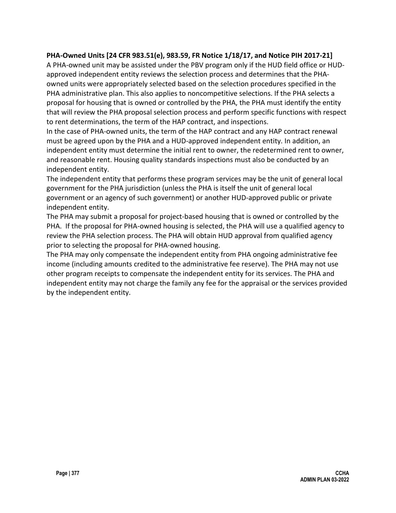#### **PHA-Owned Units [24 CFR 983.51(e), 983.59, FR Notice 1/18/17, and Notice PIH 2017-21]**

A PHA-owned unit may be assisted under the PBV program only if the HUD field office or HUDapproved independent entity reviews the selection process and determines that the PHAowned units were appropriately selected based on the selection procedures specified in the PHA administrative plan. This also applies to noncompetitive selections. If the PHA selects a proposal for housing that is owned or controlled by the PHA, the PHA must identify the entity that will review the PHA proposal selection process and perform specific functions with respect to rent determinations, the term of the HAP contract, and inspections.

In the case of PHA-owned units, the term of the HAP contract and any HAP contract renewal must be agreed upon by the PHA and a HUD-approved independent entity. In addition, an independent entity must determine the initial rent to owner, the redetermined rent to owner, and reasonable rent. Housing quality standards inspections must also be conducted by an independent entity.

The independent entity that performs these program services may be the unit of general local government for the PHA jurisdiction (unless the PHA is itself the unit of general local government or an agency of such government) or another HUD-approved public or private independent entity.

The PHA may submit a proposal for project-based housing that is owned or controlled by the PHA. If the proposal for PHA-owned housing is selected, the PHA will use a qualified agency to review the PHA selection process. The PHA will obtain HUD approval from qualified agency prior to selecting the proposal for PHA-owned housing.

The PHA may only compensate the independent entity from PHA ongoing administrative fee income (including amounts credited to the administrative fee reserve). The PHA may not use other program receipts to compensate the independent entity for its services. The PHA and independent entity may not charge the family any fee for the appraisal or the services provided by the independent entity.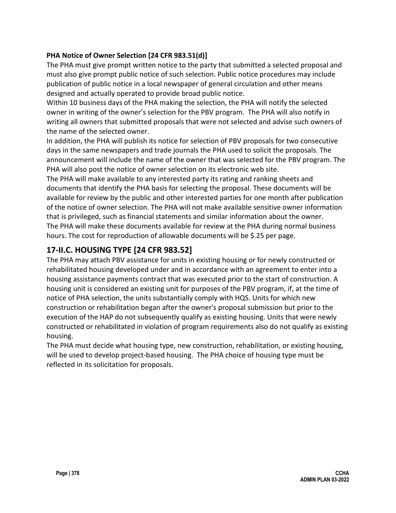### **PHA Notice of Owner Selection [24 CFR 983.51(d)]**

The PHA must give prompt written notice to the party that submitted a selected proposal and must also give prompt public notice of such selection. Public notice procedures may include publication of public notice in a local newspaper of general circulation and other means designed and actually operated to provide broad public notice.

Within 10 business days of the PHA making the selection, the PHA will notify the selected owner in writing of the owner's selection for the PBV program. The PHA will also notify in writing all owners that submitted proposals that were not selected and advise such owners of the name of the selected owner.

In addition, the PHA will publish its notice for selection of PBV proposals for two consecutive days in the same newspapers and trade journals the PHA used to solicit the proposals. The announcement will include the name of the owner that was selected for the PBV program. The PHA will also post the notice of owner selection on its electronic web site.

The PHA will make available to any interested party its rating and ranking sheets and documents that identify the PHA basis for selecting the proposal. These documents will be available for review by the public and other interested parties for one month after publication of the notice of owner selection. The PHA will not make available sensitive owner information that is privileged, such as financial statements and similar information about the owner. The PHA will make these documents available for review at the PHA during normal business hours. The cost for reproduction of allowable documents will be \$.25 per page.

# **17-II.C. HOUSING TYPE [24 CFR 983.52]**

The PHA may attach PBV assistance for units in existing housing or for newly constructed or rehabilitated housing developed under and in accordance with an agreement to enter into a housing assistance payments contract that was executed prior to the start of construction. A housing unit is considered an existing unit for purposes of the PBV program, if, at the time of notice of PHA selection, the units substantially comply with HQS. Units for which new construction or rehabilitation began after the owner's proposal submission but prior to the execution of the HAP do not subsequently qualify as existing housing. Units that were newly constructed or rehabilitated in violation of program requirements also do not qualify as existing housing.

The PHA must decide what housing type, new construction, rehabilitation, or existing housing, will be used to develop project-based housing. The PHA choice of housing type must be reflected in its solicitation for proposals.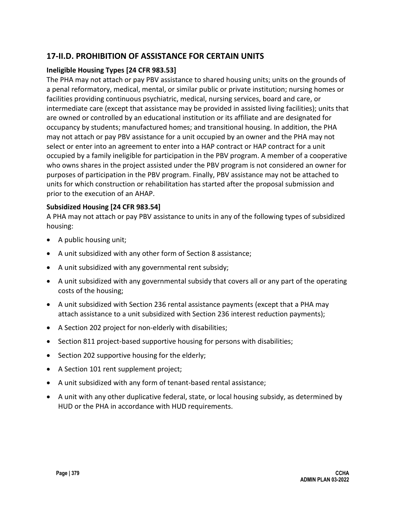## **17-II.D. PROHIBITION OF ASSISTANCE FOR CERTAIN UNITS**

#### **Ineligible Housing Types [24 CFR 983.53]**

The PHA may not attach or pay PBV assistance to shared housing units; units on the grounds of a penal reformatory, medical, mental, or similar public or private institution; nursing homes or facilities providing continuous psychiatric, medical, nursing services, board and care, or intermediate care (except that assistance may be provided in assisted living facilities); units that are owned or controlled by an educational institution or its affiliate and are designated for occupancy by students; manufactured homes; and transitional housing. In addition, the PHA may not attach or pay PBV assistance for a unit occupied by an owner and the PHA may not select or enter into an agreement to enter into a HAP contract or HAP contract for a unit occupied by a family ineligible for participation in the PBV program. A member of a cooperative who owns shares in the project assisted under the PBV program is not considered an owner for purposes of participation in the PBV program. Finally, PBV assistance may not be attached to units for which construction or rehabilitation has started after the proposal submission and prior to the execution of an AHAP.

#### **Subsidized Housing [24 CFR 983.54]**

A PHA may not attach or pay PBV assistance to units in any of the following types of subsidized housing:

- A public housing unit;
- A unit subsidized with any other form of Section 8 assistance;
- A unit subsidized with any governmental rent subsidy;
- A unit subsidized with any governmental subsidy that covers all or any part of the operating costs of the housing;
- A unit subsidized with Section 236 rental assistance payments (except that a PHA may attach assistance to a unit subsidized with Section 236 interest reduction payments);
- A Section 202 project for non-elderly with disabilities;
- Section 811 project-based supportive housing for persons with disabilities;
- Section 202 supportive housing for the elderly;
- A Section 101 rent supplement project;
- A unit subsidized with any form of tenant-based rental assistance;
- A unit with any other duplicative federal, state, or local housing subsidy, as determined by HUD or the PHA in accordance with HUD requirements.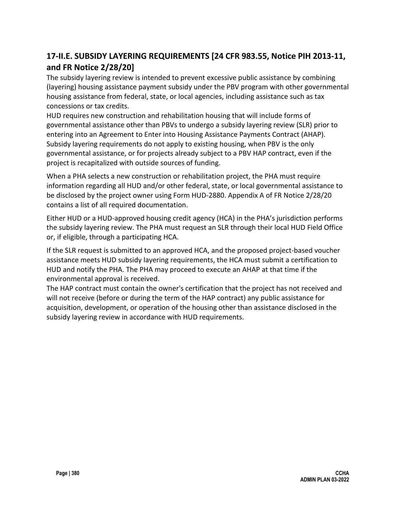# **17-II.E. SUBSIDY LAYERING REQUIREMENTS [24 CFR 983.55, Notice PIH 2013-11, and FR Notice 2/28/20]**

The subsidy layering review is intended to prevent excessive public assistance by combining (layering) housing assistance payment subsidy under the PBV program with other governmental housing assistance from federal, state, or local agencies, including assistance such as tax concessions or tax credits.

HUD requires new construction and rehabilitation housing that will include forms of governmental assistance other than PBVs to undergo a subsidy layering review (SLR) prior to entering into an Agreement to Enter into Housing Assistance Payments Contract (AHAP). Subsidy layering requirements do not apply to existing housing, when PBV is the only governmental assistance, or for projects already subject to a PBV HAP contract, even if the project is recapitalized with outside sources of funding.

When a PHA selects a new construction or rehabilitation project, the PHA must require information regarding all HUD and/or other federal, state, or local governmental assistance to be disclosed by the project owner using Form HUD-2880. Appendix A of FR Notice 2/28/20 contains a list of all required documentation.

Either HUD or a HUD-approved housing credit agency (HCA) in the PHA's jurisdiction performs the subsidy layering review. The PHA must request an SLR through their local HUD Field Office or, if eligible, through a participating HCA.

If the SLR request is submitted to an approved HCA, and the proposed project-based voucher assistance meets HUD subsidy layering requirements, the HCA must submit a certification to HUD and notify the PHA. The PHA may proceed to execute an AHAP at that time if the environmental approval is received.

The HAP contract must contain the owner's certification that the project has not received and will not receive (before or during the term of the HAP contract) any public assistance for acquisition, development, or operation of the housing other than assistance disclosed in the subsidy layering review in accordance with HUD requirements.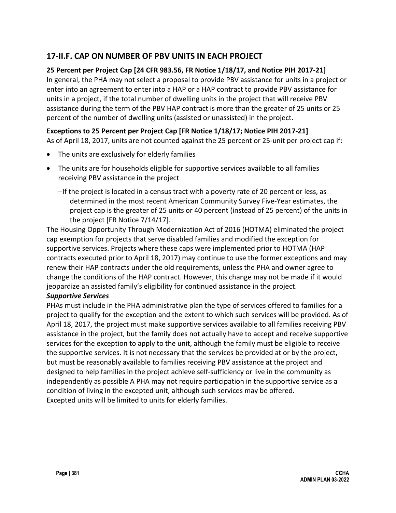## **17-II.F. CAP ON NUMBER OF PBV UNITS IN EACH PROJECT**

### **25 Percent per Project Cap [24 CFR 983.56, FR Notice 1/18/17, and Notice PIH 2017-21]**

In general, the PHA may not select a proposal to provide PBV assistance for units in a project or enter into an agreement to enter into a HAP or a HAP contract to provide PBV assistance for units in a project, if the total number of dwelling units in the project that will receive PBV assistance during the term of the PBV HAP contract is more than the greater of 25 units or 25 percent of the number of dwelling units (assisted or unassisted) in the project.

### **Exceptions to 25 Percent per Project Cap [FR Notice 1/18/17; Notice PIH 2017-21]**

As of April 18, 2017, units are not counted against the 25 percent or 25-unit per project cap if:

- The units are exclusively for elderly families
- The units are for households eligible for supportive services available to all families receiving PBV assistance in the project
	- −If the project is located in a census tract with a poverty rate of 20 percent or less, as determined in the most recent American Community Survey Five-Year estimates, the project cap is the greater of 25 units or 40 percent (instead of 25 percent) of the units in the project [FR Notice 7/14/17].

The Housing Opportunity Through Modernization Act of 2016 (HOTMA) eliminated the project cap exemption for projects that serve disabled families and modified the exception for supportive services. Projects where these caps were implemented prior to HOTMA (HAP contracts executed prior to April 18, 2017) may continue to use the former exceptions and may renew their HAP contracts under the old requirements, unless the PHA and owner agree to change the conditions of the HAP contract. However, this change may not be made if it would jeopardize an assisted family's eligibility for continued assistance in the project.

#### *Supportive Services*

PHAs must include in the PHA administrative plan the type of services offered to families for a project to qualify for the exception and the extent to which such services will be provided. As of April 18, 2017, the project must make supportive services available to all families receiving PBV assistance in the project, but the family does not actually have to accept and receive supportive services for the exception to apply to the unit, although the family must be eligible to receive the supportive services. It is not necessary that the services be provided at or by the project, but must be reasonably available to families receiving PBV assistance at the project and designed to help families in the project achieve self-sufficiency or live in the community as independently as possible A PHA may not require participation in the supportive service as a condition of living in the excepted unit, although such services may be offered. Excepted units will be limited to units for elderly families.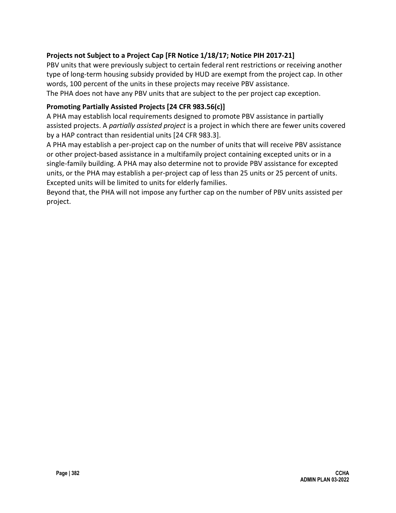## **Projects not Subject to a Project Cap [FR Notice 1/18/17; Notice PIH 2017-21]**

PBV units that were previously subject to certain federal rent restrictions or receiving another type of long-term housing subsidy provided by HUD are exempt from the project cap. In other words, 100 percent of the units in these projects may receive PBV assistance. The PHA does not have any PBV units that are subject to the per project cap exception.

#### **Promoting Partially Assisted Projects [24 CFR 983.56(c)]**

A PHA may establish local requirements designed to promote PBV assistance in partially assisted projects. A *partially assisted project* is a project in which there are fewer units covered by a HAP contract than residential units [24 CFR 983.3].

A PHA may establish a per-project cap on the number of units that will receive PBV assistance or other project-based assistance in a multifamily project containing excepted units or in a single-family building. A PHA may also determine not to provide PBV assistance for excepted units, or the PHA may establish a per-project cap of less than 25 units or 25 percent of units. Excepted units will be limited to units for elderly families.

Beyond that, the PHA will not impose any further cap on the number of PBV units assisted per project.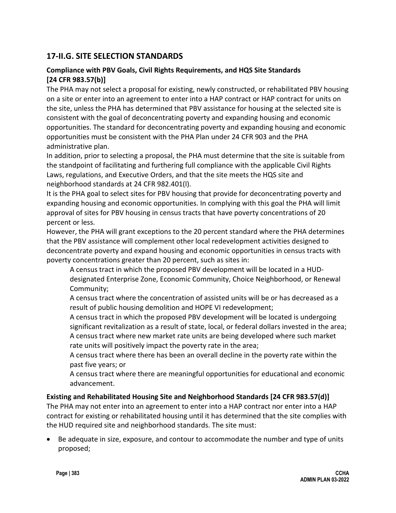## **17-II.G. SITE SELECTION STANDARDS**

#### **Compliance with PBV Goals, Civil Rights Requirements, and HQS Site Standards [24 CFR 983.57(b)]**

The PHA may not select a proposal for existing, newly constructed, or rehabilitated PBV housing on a site or enter into an agreement to enter into a HAP contract or HAP contract for units on the site, unless the PHA has determined that PBV assistance for housing at the selected site is consistent with the goal of deconcentrating poverty and expanding housing and economic opportunities. The standard for deconcentrating poverty and expanding housing and economic opportunities must be consistent with the PHA Plan under 24 CFR 903 and the PHA administrative plan.

In addition, prior to selecting a proposal, the PHA must determine that the site is suitable from the standpoint of facilitating and furthering full compliance with the applicable Civil Rights Laws, regulations, and Executive Orders, and that the site meets the HQS site and neighborhood standards at 24 CFR 982.401(l).

It is the PHA goal to select sites for PBV housing that provide for deconcentrating poverty and expanding housing and economic opportunities. In complying with this goal the PHA will limit approval of sites for PBV housing in census tracts that have poverty concentrations of 20 percent or less.

However, the PHA will grant exceptions to the 20 percent standard where the PHA determines that the PBV assistance will complement other local redevelopment activities designed to deconcentrate poverty and expand housing and economic opportunities in census tracts with poverty concentrations greater than 20 percent, such as sites in:

A census tract in which the proposed PBV development will be located in a HUDdesignated Enterprise Zone, Economic Community, Choice Neighborhood, or Renewal Community;

A census tract where the concentration of assisted units will be or has decreased as a result of public housing demolition and HOPE VI redevelopment;

A census tract in which the proposed PBV development will be located is undergoing significant revitalization as a result of state, local, or federal dollars invested in the area; A census tract where new market rate units are being developed where such market rate units will positively impact the poverty rate in the area;

A census tract where there has been an overall decline in the poverty rate within the past five years; or

A census tract where there are meaningful opportunities for educational and economic advancement.

#### **Existing and Rehabilitated Housing Site and Neighborhood Standards [24 CFR 983.57(d)]**

The PHA may not enter into an agreement to enter into a HAP contract nor enter into a HAP contract for existing or rehabilitated housing until it has determined that the site complies with the HUD required site and neighborhood standards. The site must:

• Be adequate in size, exposure, and contour to accommodate the number and type of units proposed;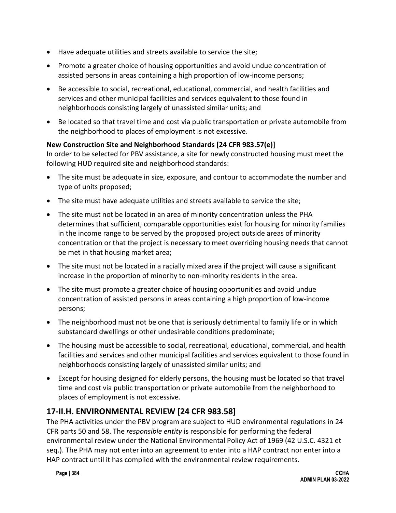- Have adequate utilities and streets available to service the site;
- Promote a greater choice of housing opportunities and avoid undue concentration of assisted persons in areas containing a high proportion of low-income persons;
- Be accessible to social, recreational, educational, commercial, and health facilities and services and other municipal facilities and services equivalent to those found in neighborhoods consisting largely of unassisted similar units; and
- Be located so that travel time and cost via public transportation or private automobile from the neighborhood to places of employment is not excessive.

## **New Construction Site and Neighborhood Standards [24 CFR 983.57(e)]**

In order to be selected for PBV assistance, a site for newly constructed housing must meet the following HUD required site and neighborhood standards:

- The site must be adequate in size, exposure, and contour to accommodate the number and type of units proposed;
- The site must have adequate utilities and streets available to service the site;
- The site must not be located in an area of minority concentration unless the PHA determines that sufficient, comparable opportunities exist for housing for minority families in the income range to be served by the proposed project outside areas of minority concentration or that the project is necessary to meet overriding housing needs that cannot be met in that housing market area;
- The site must not be located in a racially mixed area if the project will cause a significant increase in the proportion of minority to non-minority residents in the area.
- The site must promote a greater choice of housing opportunities and avoid undue concentration of assisted persons in areas containing a high proportion of low-income persons;
- The neighborhood must not be one that is seriously detrimental to family life or in which substandard dwellings or other undesirable conditions predominate;
- The housing must be accessible to social, recreational, educational, commercial, and health facilities and services and other municipal facilities and services equivalent to those found in neighborhoods consisting largely of unassisted similar units; and
- Except for housing designed for elderly persons, the housing must be located so that travel time and cost via public transportation or private automobile from the neighborhood to places of employment is not excessive.

# **17-II.H. ENVIRONMENTAL REVIEW [24 CFR 983.58]**

The PHA activities under the PBV program are subject to HUD environmental regulations in 24 CFR parts 50 and 58. The *responsible entity* is responsible for performing the federal environmental review under the National Environmental Policy Act of 1969 (42 U.S.C. 4321 et seq.). The PHA may not enter into an agreement to enter into a HAP contract nor enter into a HAP contract until it has complied with the environmental review requirements.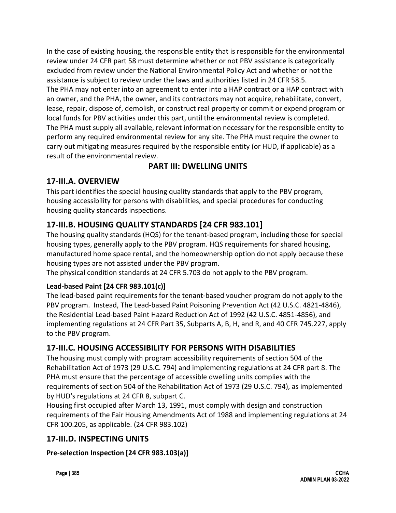In the case of existing housing, the responsible entity that is responsible for the environmental review under 24 CFR part 58 must determine whether or not PBV assistance is categorically excluded from review under the National Environmental Policy Act and whether or not the assistance is subject to review under the laws and authorities listed in 24 CFR 58.5. The PHA may not enter into an agreement to enter into a HAP contract or a HAP contract with an owner, and the PHA, the owner, and its contractors may not acquire, rehabilitate, convert, lease, repair, dispose of, demolish, or construct real property or commit or expend program or local funds for PBV activities under this part, until the environmental review is completed. The PHA must supply all available, relevant information necessary for the responsible entity to perform any required environmental review for any site. The PHA must require the owner to carry out mitigating measures required by the responsible entity (or HUD, if applicable) as a result of the environmental review.

# **PART III: DWELLING UNITS**

# **17-III.A. OVERVIEW**

This part identifies the special housing quality standards that apply to the PBV program, housing accessibility for persons with disabilities, and special procedures for conducting housing quality standards inspections.

# **17-III.B. HOUSING QUALITY STANDARDS [24 CFR 983.101]**

The housing quality standards (HQS) for the tenant-based program, including those for special housing types, generally apply to the PBV program. HQS requirements for shared housing, manufactured home space rental, and the homeownership option do not apply because these housing types are not assisted under the PBV program.

The physical condition standards at 24 CFR 5.703 do not apply to the PBV program.

## **Lead-based Paint [24 CFR 983.101(c)]**

The lead-based paint requirements for the tenant-based voucher program do not apply to the PBV program. Instead, The Lead-based Paint Poisoning Prevention Act (42 U.S.C. 4821-4846), the Residential Lead-based Paint Hazard Reduction Act of 1992 (42 U.S.C. 4851-4856), and implementing regulations at 24 CFR Part 35, Subparts A, B, H, and R, and 40 CFR 745.227, apply to the PBV program.

## **17-III.C. HOUSING ACCESSIBILITY FOR PERSONS WITH DISABILITIES**

The housing must comply with program accessibility requirements of section 504 of the Rehabilitation Act of 1973 (29 U.S.C. 794) and implementing regulations at 24 CFR part 8. The PHA must ensure that the percentage of accessible dwelling units complies with the requirements of section 504 of the Rehabilitation Act of 1973 (29 U.S.C. 794), as implemented by HUD's regulations at 24 CFR 8, subpart C.

Housing first occupied after March 13, 1991, must comply with design and construction requirements of the Fair Housing Amendments Act of 1988 and implementing regulations at 24 CFR 100.205, as applicable. (24 CFR 983.102)

## **17-III.D. INSPECTING UNITS**

**Pre-selection Inspection [24 CFR 983.103(a)]**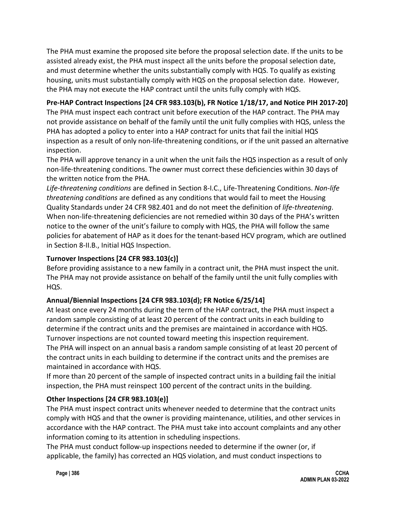The PHA must examine the proposed site before the proposal selection date. If the units to be assisted already exist, the PHA must inspect all the units before the proposal selection date, and must determine whether the units substantially comply with HQS. To qualify as existing housing, units must substantially comply with HQS on the proposal selection date. However, the PHA may not execute the HAP contract until the units fully comply with HQS.

## **Pre-HAP Contract Inspections [24 CFR 983.103(b), FR Notice 1/18/17, and Notice PIH 2017-20]**

The PHA must inspect each contract unit before execution of the HAP contract. The PHA may not provide assistance on behalf of the family until the unit fully complies with HQS, unless the PHA has adopted a policy to enter into a HAP contract for units that fail the initial HQS inspection as a result of only non-life-threatening conditions, or if the unit passed an alternative inspection.

The PHA will approve tenancy in a unit when the unit fails the HQS inspection as a result of only non-life-threatening conditions. The owner must correct these deficiencies within 30 days of the written notice from the PHA.

*Life-threatening conditions* are defined in Section 8-I.C., Life-Threatening Conditions. *Non-life threatening conditions* are defined as any conditions that would fail to meet the Housing Quality Standards under 24 CFR 982.401 and do not meet the definition of *life-threatening*. When non-life-threatening deficiencies are not remedied within 30 days of the PHA's written notice to the owner of the unit's failure to comply with HQS, the PHA will follow the same policies for abatement of HAP as it does for the tenant-based HCV program, which are outlined in Section 8-II.B., Initial HQS Inspection.

#### **Turnover Inspections [24 CFR 983.103(c)]**

Before providing assistance to a new family in a contract unit, the PHA must inspect the unit. The PHA may not provide assistance on behalf of the family until the unit fully complies with HQS.

#### **Annual/Biennial Inspections [24 CFR 983.103(d); FR Notice 6/25/14]**

At least once every 24 months during the term of the HAP contract, the PHA must inspect a random sample consisting of at least 20 percent of the contract units in each building to determine if the contract units and the premises are maintained in accordance with HQS. Turnover inspections are not counted toward meeting this inspection requirement. The PHA will inspect on an annual basis a random sample consisting of at least 20 percent of the contract units in each building to determine if the contract units and the premises are maintained in accordance with HQS.

If more than 20 percent of the sample of inspected contract units in a building fail the initial inspection, the PHA must reinspect 100 percent of the contract units in the building.

#### **Other Inspections [24 CFR 983.103(e)]**

The PHA must inspect contract units whenever needed to determine that the contract units comply with HQS and that the owner is providing maintenance, utilities, and other services in accordance with the HAP contract. The PHA must take into account complaints and any other information coming to its attention in scheduling inspections.

The PHA must conduct follow-up inspections needed to determine if the owner (or, if applicable, the family) has corrected an HQS violation, and must conduct inspections to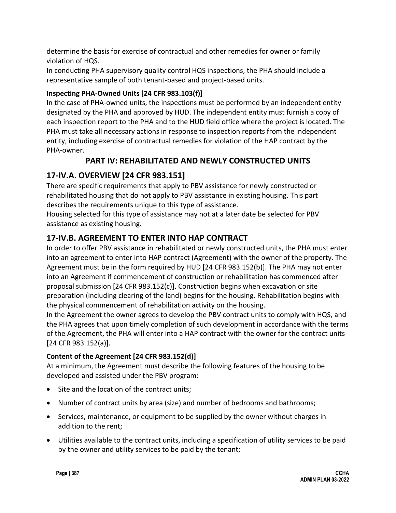determine the basis for exercise of contractual and other remedies for owner or family violation of HQS.

In conducting PHA supervisory quality control HQS inspections, the PHA should include a representative sample of both tenant-based and project-based units.

## **Inspecting PHA-Owned Units [24 CFR 983.103(f)]**

In the case of PHA-owned units, the inspections must be performed by an independent entity designated by the PHA and approved by HUD. The independent entity must furnish a copy of each inspection report to the PHA and to the HUD field office where the project is located. The PHA must take all necessary actions in response to inspection reports from the independent entity, including exercise of contractual remedies for violation of the HAP contract by the PHA-owner.

# **PART IV: REHABILITATED AND NEWLY CONSTRUCTED UNITS**

# **17-IV.A. OVERVIEW [24 CFR 983.151]**

There are specific requirements that apply to PBV assistance for newly constructed or rehabilitated housing that do not apply to PBV assistance in existing housing. This part describes the requirements unique to this type of assistance.

Housing selected for this type of assistance may not at a later date be selected for PBV assistance as existing housing.

# **17-IV.B. AGREEMENT TO ENTER INTO HAP CONTRACT**

In order to offer PBV assistance in rehabilitated or newly constructed units, the PHA must enter into an agreement to enter into HAP contract (Agreement) with the owner of the property. The Agreement must be in the form required by HUD [24 CFR 983.152(b)]. The PHA may not enter into an Agreement if commencement of construction or rehabilitation has commenced after proposal submission [24 CFR 983.152(c)]. Construction begins when excavation or site preparation (including clearing of the land) begins for the housing. Rehabilitation begins with the physical commencement of rehabilitation activity on the housing.

In the Agreement the owner agrees to develop the PBV contract units to comply with HQS, and the PHA agrees that upon timely completion of such development in accordance with the terms of the Agreement, the PHA will enter into a HAP contract with the owner for the contract units [24 CFR 983.152(a)].

## **Content of the Agreement [24 CFR 983.152(d)]**

At a minimum, the Agreement must describe the following features of the housing to be developed and assisted under the PBV program:

- Site and the location of the contract units;
- Number of contract units by area (size) and number of bedrooms and bathrooms;
- Services, maintenance, or equipment to be supplied by the owner without charges in addition to the rent;
- Utilities available to the contract units, including a specification of utility services to be paid by the owner and utility services to be paid by the tenant;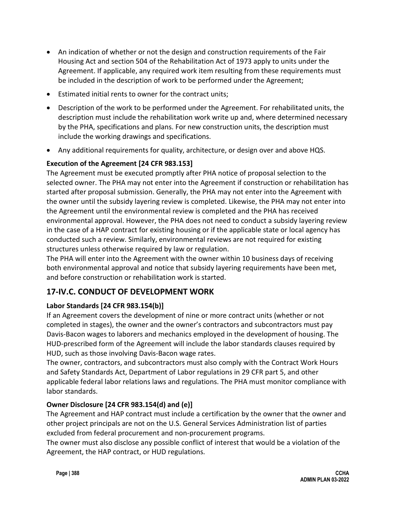- An indication of whether or not the design and construction requirements of the Fair Housing Act and section 504 of the Rehabilitation Act of 1973 apply to units under the Agreement. If applicable, any required work item resulting from these requirements must be included in the description of work to be performed under the Agreement;
- Estimated initial rents to owner for the contract units;
- Description of the work to be performed under the Agreement. For rehabilitated units, the description must include the rehabilitation work write up and, where determined necessary by the PHA, specifications and plans. For new construction units, the description must include the working drawings and specifications.
- Any additional requirements for quality, architecture, or design over and above HQS.

### **Execution of the Agreement [24 CFR 983.153]**

The Agreement must be executed promptly after PHA notice of proposal selection to the selected owner. The PHA may not enter into the Agreement if construction or rehabilitation has started after proposal submission. Generally, the PHA may not enter into the Agreement with the owner until the subsidy layering review is completed. Likewise, the PHA may not enter into the Agreement until the environmental review is completed and the PHA has received environmental approval. However, the PHA does not need to conduct a subsidy layering review in the case of a HAP contract for existing housing or if the applicable state or local agency has conducted such a review. Similarly, environmental reviews are not required for existing structures unless otherwise required by law or regulation.

The PHA will enter into the Agreement with the owner within 10 business days of receiving both environmental approval and notice that subsidy layering requirements have been met, and before construction or rehabilitation work is started.

## **17-IV.C. CONDUCT OF DEVELOPMENT WORK**

#### **Labor Standards [24 CFR 983.154(b)]**

If an Agreement covers the development of nine or more contract units (whether or not completed in stages), the owner and the owner's contractors and subcontractors must pay Davis-Bacon wages to laborers and mechanics employed in the development of housing. The HUD-prescribed form of the Agreement will include the labor standards clauses required by HUD, such as those involving Davis-Bacon wage rates.

The owner, contractors, and subcontractors must also comply with the Contract Work Hours and Safety Standards Act, Department of Labor regulations in 29 CFR part 5, and other applicable federal labor relations laws and regulations. The PHA must monitor compliance with labor standards.

#### **Owner Disclosure [24 CFR 983.154(d) and (e)]**

The Agreement and HAP contract must include a certification by the owner that the owner and other project principals are not on the U.S. General Services Administration list of parties excluded from federal procurement and non-procurement programs.

The owner must also disclose any possible conflict of interest that would be a violation of the Agreement, the HAP contract, or HUD regulations.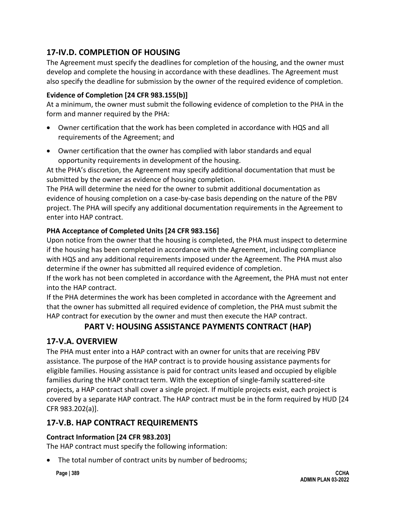# **17-IV.D. COMPLETION OF HOUSING**

The Agreement must specify the deadlines for completion of the housing, and the owner must develop and complete the housing in accordance with these deadlines. The Agreement must also specify the deadline for submission by the owner of the required evidence of completion.

### **Evidence of Completion [24 CFR 983.155(b)]**

At a minimum, the owner must submit the following evidence of completion to the PHA in the form and manner required by the PHA:

- Owner certification that the work has been completed in accordance with HQS and all requirements of the Agreement; and
- Owner certification that the owner has complied with labor standards and equal opportunity requirements in development of the housing.

At the PHA's discretion, the Agreement may specify additional documentation that must be submitted by the owner as evidence of housing completion.

The PHA will determine the need for the owner to submit additional documentation as evidence of housing completion on a case-by-case basis depending on the nature of the PBV project. The PHA will specify any additional documentation requirements in the Agreement to enter into HAP contract.

### **PHA Acceptance of Completed Units [24 CFR 983.156]**

Upon notice from the owner that the housing is completed, the PHA must inspect to determine if the housing has been completed in accordance with the Agreement, including compliance with HQS and any additional requirements imposed under the Agreement. The PHA must also determine if the owner has submitted all required evidence of completion.

If the work has not been completed in accordance with the Agreement, the PHA must not enter into the HAP contract.

If the PHA determines the work has been completed in accordance with the Agreement and that the owner has submitted all required evidence of completion, the PHA must submit the HAP contract for execution by the owner and must then execute the HAP contract.

# **PART V: HOUSING ASSISTANCE PAYMENTS CONTRACT (HAP)**

## **17-V.A. OVERVIEW**

The PHA must enter into a HAP contract with an owner for units that are receiving PBV assistance. The purpose of the HAP contract is to provide housing assistance payments for eligible families. Housing assistance is paid for contract units leased and occupied by eligible families during the HAP contract term. With the exception of single-family scattered-site projects, a HAP contract shall cover a single project. If multiple projects exist, each project is covered by a separate HAP contract. The HAP contract must be in the form required by HUD [24 CFR 983.202(a)].

## **17-V.B. HAP CONTRACT REQUIREMENTS**

#### **Contract Information [24 CFR 983.203]**

The HAP contract must specify the following information:

• The total number of contract units by number of bedrooms;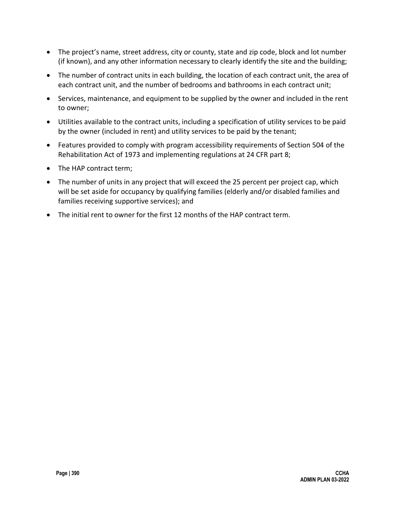- The project's name, street address, city or county, state and zip code, block and lot number (if known), and any other information necessary to clearly identify the site and the building;
- The number of contract units in each building, the location of each contract unit, the area of each contract unit, and the number of bedrooms and bathrooms in each contract unit;
- Services, maintenance, and equipment to be supplied by the owner and included in the rent to owner;
- Utilities available to the contract units, including a specification of utility services to be paid by the owner (included in rent) and utility services to be paid by the tenant;
- Features provided to comply with program accessibility requirements of Section 504 of the Rehabilitation Act of 1973 and implementing regulations at 24 CFR part 8;
- The HAP contract term;
- The number of units in any project that will exceed the 25 percent per project cap, which will be set aside for occupancy by qualifying families (elderly and/or disabled families and families receiving supportive services); and
- The initial rent to owner for the first 12 months of the HAP contract term.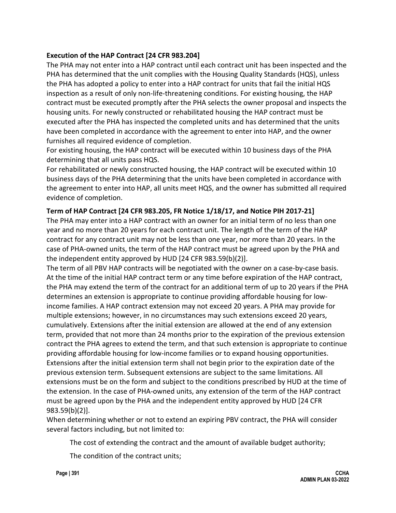#### **Execution of the HAP Contract [24 CFR 983.204]**

The PHA may not enter into a HAP contract until each contract unit has been inspected and the PHA has determined that the unit complies with the Housing Quality Standards (HQS), unless the PHA has adopted a policy to enter into a HAP contract for units that fail the initial HQS inspection as a result of only non-life-threatening conditions. For existing housing, the HAP contract must be executed promptly after the PHA selects the owner proposal and inspects the housing units. For newly constructed or rehabilitated housing the HAP contract must be executed after the PHA has inspected the completed units and has determined that the units have been completed in accordance with the agreement to enter into HAP, and the owner furnishes all required evidence of completion.

For existing housing, the HAP contract will be executed within 10 business days of the PHA determining that all units pass HQS.

For rehabilitated or newly constructed housing, the HAP contract will be executed within 10 business days of the PHA determining that the units have been completed in accordance with the agreement to enter into HAP, all units meet HQS, and the owner has submitted all required evidence of completion.

#### **Term of HAP Contract [24 CFR 983.205, FR Notice 1/18/17, and Notice PIH 2017-21]**

The PHA may enter into a HAP contract with an owner for an initial term of no less than one year and no more than 20 years for each contract unit. The length of the term of the HAP contract for any contract unit may not be less than one year, nor more than 20 years. In the case of PHA-owned units, the term of the HAP contract must be agreed upon by the PHA and the independent entity approved by HUD [24 CFR 983.59(b)(2)].

The term of all PBV HAP contracts will be negotiated with the owner on a case-by-case basis. At the time of the initial HAP contract term or any time before expiration of the HAP contract, the PHA may extend the term of the contract for an additional term of up to 20 years if the PHA determines an extension is appropriate to continue providing affordable housing for lowincome families. A HAP contract extension may not exceed 20 years. A PHA may provide for multiple extensions; however, in no circumstances may such extensions exceed 20 years, cumulatively. Extensions after the initial extension are allowed at the end of any extension term, provided that not more than 24 months prior to the expiration of the previous extension contract the PHA agrees to extend the term, and that such extension is appropriate to continue providing affordable housing for low-income families or to expand housing opportunities. Extensions after the initial extension term shall not begin prior to the expiration date of the previous extension term. Subsequent extensions are subject to the same limitations. All extensions must be on the form and subject to the conditions prescribed by HUD at the time of the extension. In the case of PHA-owned units, any extension of the term of the HAP contract must be agreed upon by the PHA and the independent entity approved by HUD [24 CFR 983.59(b)(2)].

When determining whether or not to extend an expiring PBV contract, the PHA will consider several factors including, but not limited to:

The cost of extending the contract and the amount of available budget authority;

The condition of the contract units;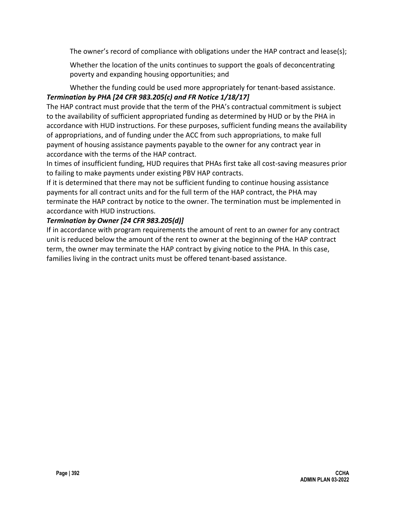The owner's record of compliance with obligations under the HAP contract and lease(s);

Whether the location of the units continues to support the goals of deconcentrating poverty and expanding housing opportunities; and

### Whether the funding could be used more appropriately for tenant-based assistance. *Termination by PHA [24 CFR 983.205(c) and FR Notice 1/18/17]*

The HAP contract must provide that the term of the PHA's contractual commitment is subject to the availability of sufficient appropriated funding as determined by HUD or by the PHA in accordance with HUD instructions. For these purposes, sufficient funding means the availability of appropriations, and of funding under the ACC from such appropriations, to make full payment of housing assistance payments payable to the owner for any contract year in accordance with the terms of the HAP contract.

In times of insufficient funding, HUD requires that PHAs first take all cost-saving measures prior to failing to make payments under existing PBV HAP contracts.

If it is determined that there may not be sufficient funding to continue housing assistance payments for all contract units and for the full term of the HAP contract, the PHA may terminate the HAP contract by notice to the owner. The termination must be implemented in accordance with HUD instructions.

#### *Termination by Owner [24 CFR 983.205(d)]*

If in accordance with program requirements the amount of rent to an owner for any contract unit is reduced below the amount of the rent to owner at the beginning of the HAP contract term, the owner may terminate the HAP contract by giving notice to the PHA. In this case, families living in the contract units must be offered tenant-based assistance.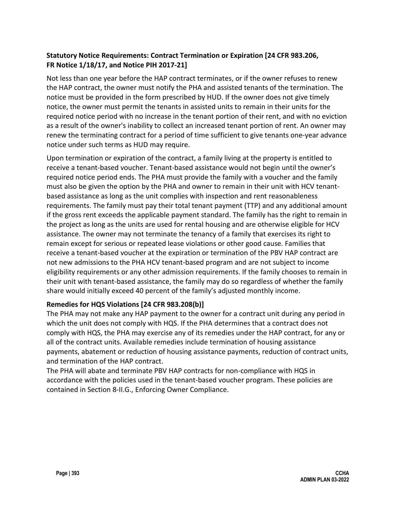### **Statutory Notice Requirements: Contract Termination or Expiration [24 CFR 983.206, FR Notice 1/18/17, and Notice PIH 2017-21]**

Not less than one year before the HAP contract terminates, or if the owner refuses to renew the HAP contract, the owner must notify the PHA and assisted tenants of the termination. The notice must be provided in the form prescribed by HUD. If the owner does not give timely notice, the owner must permit the tenants in assisted units to remain in their units for the required notice period with no increase in the tenant portion of their rent, and with no eviction as a result of the owner's inability to collect an increased tenant portion of rent. An owner may renew the terminating contract for a period of time sufficient to give tenants one-year advance notice under such terms as HUD may require.

Upon termination or expiration of the contract, a family living at the property is entitled to receive a tenant-based voucher. Tenant-based assistance would not begin until the owner's required notice period ends. The PHA must provide the family with a voucher and the family must also be given the option by the PHA and owner to remain in their unit with HCV tenantbased assistance as long as the unit complies with inspection and rent reasonableness requirements. The family must pay their total tenant payment (TTP) and any additional amount if the gross rent exceeds the applicable payment standard. The family has the right to remain in the project as long as the units are used for rental housing and are otherwise eligible for HCV assistance. The owner may not terminate the tenancy of a family that exercises its right to remain except for serious or repeated lease violations or other good cause. Families that receive a tenant-based voucher at the expiration or termination of the PBV HAP contract are not new admissions to the PHA HCV tenant-based program and are not subject to income eligibility requirements or any other admission requirements. If the family chooses to remain in their unit with tenant-based assistance, the family may do so regardless of whether the family share would initially exceed 40 percent of the family's adjusted monthly income.

#### **Remedies for HQS Violations [24 CFR 983.208(b)]**

The PHA may not make any HAP payment to the owner for a contract unit during any period in which the unit does not comply with HQS. If the PHA determines that a contract does not comply with HQS, the PHA may exercise any of its remedies under the HAP contract, for any or all of the contract units. Available remedies include termination of housing assistance payments, abatement or reduction of housing assistance payments, reduction of contract units, and termination of the HAP contract.

The PHA will abate and terminate PBV HAP contracts for non-compliance with HQS in accordance with the policies used in the tenant-based voucher program. These policies are contained in Section 8-II.G., Enforcing Owner Compliance.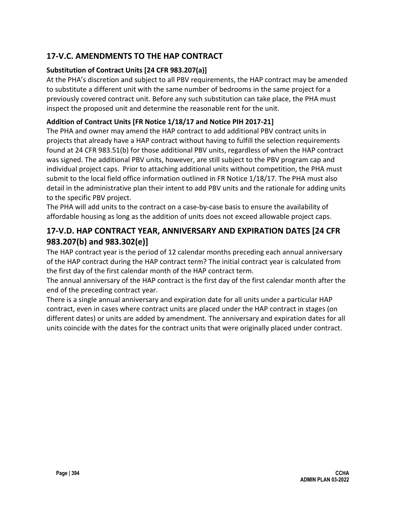# **17-V.C. AMENDMENTS TO THE HAP CONTRACT**

### **Substitution of Contract Units [24 CFR 983.207(a)]**

At the PHA's discretion and subject to all PBV requirements, the HAP contract may be amended to substitute a different unit with the same number of bedrooms in the same project for a previously covered contract unit. Before any such substitution can take place, the PHA must inspect the proposed unit and determine the reasonable rent for the unit.

### **Addition of Contract Units [FR Notice 1/18/17 and Notice PIH 2017-21]**

The PHA and owner may amend the HAP contract to add additional PBV contract units in projects that already have a HAP contract without having to fulfill the selection requirements found at 24 CFR 983.51(b) for those additional PBV units, regardless of when the HAP contract was signed. The additional PBV units, however, are still subject to the PBV program cap and individual project caps. Prior to attaching additional units without competition, the PHA must submit to the local field office information outlined in FR Notice 1/18/17. The PHA must also detail in the administrative plan their intent to add PBV units and the rationale for adding units to the specific PBV project.

The PHA will add units to the contract on a case-by-case basis to ensure the availability of affordable housing as long as the addition of units does not exceed allowable project caps.

# **17-V.D. HAP CONTRACT YEAR, ANNIVERSARY AND EXPIRATION DATES [24 CFR 983.207(b) and 983.302(e)]**

The HAP contract year is the period of 12 calendar months preceding each annual anniversary of the HAP contract during the HAP contract term? The initial contract year is calculated from the first day of the first calendar month of the HAP contract term.

The annual anniversary of the HAP contract is the first day of the first calendar month after the end of the preceding contract year.

There is a single annual anniversary and expiration date for all units under a particular HAP contract, even in cases where contract units are placed under the HAP contract in stages (on different dates) or units are added by amendment. The anniversary and expiration dates for all units coincide with the dates for the contract units that were originally placed under contract.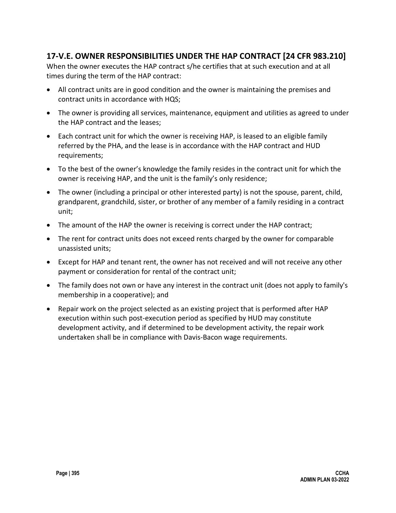## **17-V.E. OWNER RESPONSIBILITIES UNDER THE HAP CONTRACT [24 CFR 983.210]**

When the owner executes the HAP contract s/he certifies that at such execution and at all times during the term of the HAP contract:

- All contract units are in good condition and the owner is maintaining the premises and contract units in accordance with HQS;
- The owner is providing all services, maintenance, equipment and utilities as agreed to under the HAP contract and the leases;
- Each contract unit for which the owner is receiving HAP, is leased to an eligible family referred by the PHA, and the lease is in accordance with the HAP contract and HUD requirements;
- To the best of the owner's knowledge the family resides in the contract unit for which the owner is receiving HAP, and the unit is the family's only residence;
- The owner (including a principal or other interested party) is not the spouse, parent, child, grandparent, grandchild, sister, or brother of any member of a family residing in a contract unit;
- The amount of the HAP the owner is receiving is correct under the HAP contract;
- The rent for contract units does not exceed rents charged by the owner for comparable unassisted units;
- Except for HAP and tenant rent, the owner has not received and will not receive any other payment or consideration for rental of the contract unit;
- The family does not own or have any interest in the contract unit (does not apply to family's membership in a cooperative); and
- Repair work on the project selected as an existing project that is performed after HAP execution within such post-execution period as specified by HUD may constitute development activity, and if determined to be development activity, the repair work undertaken shall be in compliance with Davis-Bacon wage requirements.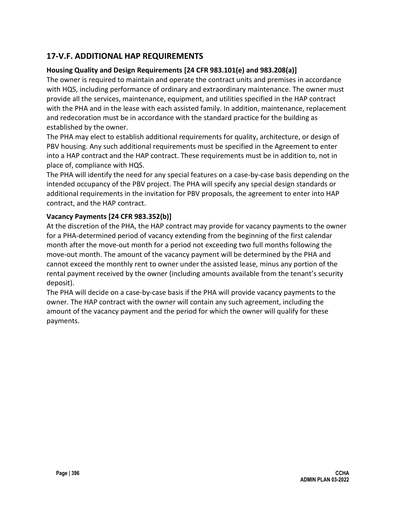# **17-V.F. ADDITIONAL HAP REQUIREMENTS**

### **Housing Quality and Design Requirements [24 CFR 983.101(e) and 983.208(a)]**

The owner is required to maintain and operate the contract units and premises in accordance with HQS, including performance of ordinary and extraordinary maintenance. The owner must provide all the services, maintenance, equipment, and utilities specified in the HAP contract with the PHA and in the lease with each assisted family. In addition, maintenance, replacement and redecoration must be in accordance with the standard practice for the building as established by the owner.

The PHA may elect to establish additional requirements for quality, architecture, or design of PBV housing. Any such additional requirements must be specified in the Agreement to enter into a HAP contract and the HAP contract. These requirements must be in addition to, not in place of, compliance with HQS.

The PHA will identify the need for any special features on a case-by-case basis depending on the intended occupancy of the PBV project. The PHA will specify any special design standards or additional requirements in the invitation for PBV proposals, the agreement to enter into HAP contract, and the HAP contract.

#### **Vacancy Payments [24 CFR 983.352(b)]**

At the discretion of the PHA, the HAP contract may provide for vacancy payments to the owner for a PHA-determined period of vacancy extending from the beginning of the first calendar month after the move-out month for a period not exceeding two full months following the move-out month. The amount of the vacancy payment will be determined by the PHA and cannot exceed the monthly rent to owner under the assisted lease, minus any portion of the rental payment received by the owner (including amounts available from the tenant's security deposit).

The PHA will decide on a case-by-case basis if the PHA will provide vacancy payments to the owner. The HAP contract with the owner will contain any such agreement, including the amount of the vacancy payment and the period for which the owner will qualify for these payments.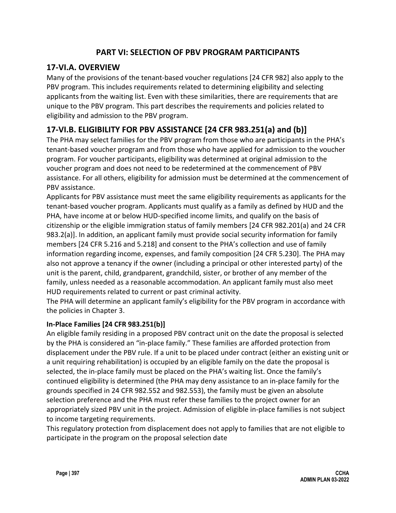## **PART VI: SELECTION OF PBV PROGRAM PARTICIPANTS**

# **17-VI.A. OVERVIEW**

Many of the provisions of the tenant-based voucher regulations [24 CFR 982] also apply to the PBV program. This includes requirements related to determining eligibility and selecting applicants from the waiting list. Even with these similarities, there are requirements that are unique to the PBV program. This part describes the requirements and policies related to eligibility and admission to the PBV program.

# **17-VI.B. ELIGIBILITY FOR PBV ASSISTANCE [24 CFR 983.251(a) and (b)]**

The PHA may select families for the PBV program from those who are participants in the PHA's tenant-based voucher program and from those who have applied for admission to the voucher program. For voucher participants, eligibility was determined at original admission to the voucher program and does not need to be redetermined at the commencement of PBV assistance. For all others, eligibility for admission must be determined at the commencement of PBV assistance.

Applicants for PBV assistance must meet the same eligibility requirements as applicants for the tenant-based voucher program. Applicants must qualify as a family as defined by HUD and the PHA, have income at or below HUD-specified income limits, and qualify on the basis of citizenship or the eligible immigration status of family members [24 CFR 982.201(a) and 24 CFR 983.2(a)]. In addition, an applicant family must provide social security information for family members [24 CFR 5.216 and 5.218] and consent to the PHA's collection and use of family information regarding income, expenses, and family composition [24 CFR 5.230]. The PHA may also not approve a tenancy if the owner (including a principal or other interested party) of the unit is the parent, child, grandparent, grandchild, sister, or brother of any member of the family, unless needed as a reasonable accommodation. An applicant family must also meet HUD requirements related to current or past criminal activity.

The PHA will determine an applicant family's eligibility for the PBV program in accordance with the policies in Chapter 3.

## **In-Place Families [24 CFR 983.251(b)]**

An eligible family residing in a proposed PBV contract unit on the date the proposal is selected by the PHA is considered an "in-place family." These families are afforded protection from displacement under the PBV rule. If a unit to be placed under contract (either an existing unit or a unit requiring rehabilitation) is occupied by an eligible family on the date the proposal is selected, the in-place family must be placed on the PHA's waiting list. Once the family's continued eligibility is determined (the PHA may deny assistance to an in-place family for the grounds specified in 24 CFR 982.552 and 982.553), the family must be given an absolute selection preference and the PHA must refer these families to the project owner for an appropriately sized PBV unit in the project. Admission of eligible in-place families is not subject to income targeting requirements.

This regulatory protection from displacement does not apply to families that are not eligible to participate in the program on the proposal selection date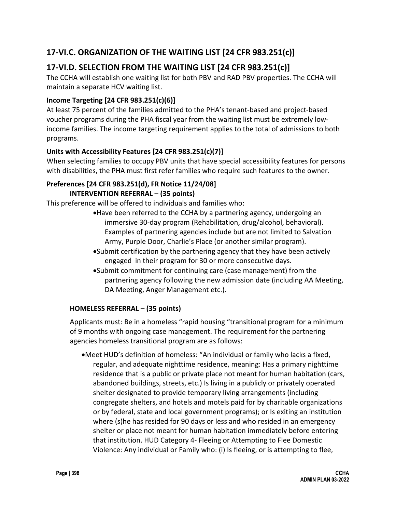# **17-VI.C. ORGANIZATION OF THE WAITING LIST [24 CFR 983.251(c)]**

# **17-VI.D. SELECTION FROM THE WAITING LIST [24 CFR 983.251(c)]**

The CCHA will establish one waiting list for both PBV and RAD PBV properties. The CCHA will maintain a separate HCV waiting list.

## **Income Targeting [24 CFR 983.251(c)(6)]**

At least 75 percent of the families admitted to the PHA's tenant-based and project-based voucher programs during the PHA fiscal year from the waiting list must be extremely lowincome families. The income targeting requirement applies to the total of admissions to both programs.

### **Units with Accessibility Features [24 CFR 983.251(c)(7)]**

When selecting families to occupy PBV units that have special accessibility features for persons with disabilities, the PHA must first refer families who require such features to the owner.

#### **Preferences [24 CFR 983.251(d), FR Notice 11/24/08] INTERVENTION REFERRAL – (35 points)**

This preference will be offered to individuals and families who:

- •Have been referred to the CCHA by a partnering agency, undergoing an immersive 30-day program (Rehabilitation, drug/alcohol, behavioral). Examples of partnering agencies include but are not limited to Salvation Army, Purple Door, Charlie's Place (or another similar program).
- •Submit certification by the partnering agency that they have been actively engaged in their program for 30 or more consecutive days.
- •Submit commitment for continuing care (case management) from the partnering agency following the new admission date (including AA Meeting, DA Meeting, Anger Management etc.).

## **HOMELESS REFERRAL – (35 points)**

Applicants must: Be in a homeless "rapid housing "transitional program for a minimum of 9 months with ongoing case management. The requirement for the partnering agencies homeless transitional program are as follows:

•Meet HUD's definition of homeless: "An individual or family who lacks a fixed, regular, and adequate nighttime residence, meaning: Has a primary nighttime residence that is a public or private place not meant for human habitation (cars, abandoned buildings, streets, etc.) Is living in a publicly or privately operated shelter designated to provide temporary living arrangements (including congregate shelters, and hotels and motels paid for by charitable organizations or by federal, state and local government programs); or Is exiting an institution where (s)he has resided for 90 days or less and who resided in an emergency shelter or place not meant for human habitation immediately before entering that institution. HUD Category 4- Fleeing or Attempting to Flee Domestic Violence: Any individual or Family who: (i) Is fleeing, or is attempting to flee,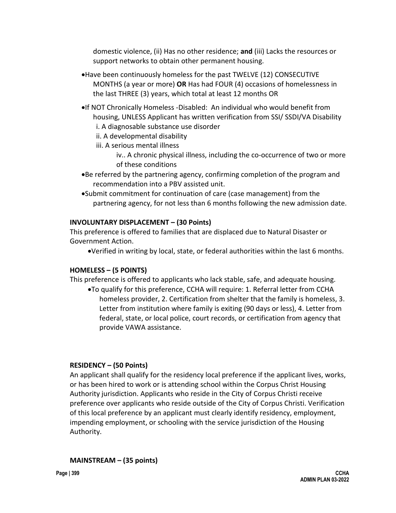domestic violence, (ii) Has no other residence; **and** (iii) Lacks the resources or support networks to obtain other permanent housing.

- •Have been continuously homeless for the past TWELVE (12) CONSECUTIVE MONTHS (a year or more) **OR** Has had FOUR (4) occasions of homelessness in the last THREE (3) years, which total at least 12 months OR
- •If NOT Chronically Homeless -Disabled: An individual who would benefit from housing, UNLESS Applicant has written verification from SSI/ SSDI/VA Disability i. A diagnosable substance use disorder

ii. A developmental disability

iii. A serious mental illness

iv.. A chronic physical illness, including the co-occurrence of two or more of these conditions

- •Be referred by the partnering agency, confirming completion of the program and recommendation into a PBV assisted unit.
- •Submit commitment for continuation of care (case management) from the partnering agency, for not less than 6 months following the new admission date.

### **INVOLUNTARY DISPLACEMENT – (30 Points)**

This preference is offered to families that are displaced due to Natural Disaster or Government Action.

•Verified in writing by local, state, or federal authorities within the last 6 months.

#### **HOMELESS – (5 POINTS)**

This preference is offered to applicants who lack stable, safe, and adequate housing.

•To qualify for this preference, CCHA will require: 1. Referral letter from CCHA homeless provider, 2. Certification from shelter that the family is homeless, 3. Letter from institution where family is exiting (90 days or less), 4. Letter from federal, state, or local police, court records, or certification from agency that provide VAWA assistance.

## **RESIDENCY – (50 Points)**

An applicant shall qualify for the residency local preference if the applicant lives, works, or has been hired to work or is attending school within the Corpus Christ Housing Authority jurisdiction. Applicants who reside in the City of Corpus Christi receive preference over applicants who reside outside of the City of Corpus Christi. Verification of this local preference by an applicant must clearly identify residency, employment, impending employment, or schooling with the service jurisdiction of the Housing Authority.

#### **MAINSTREAM – (35 points)**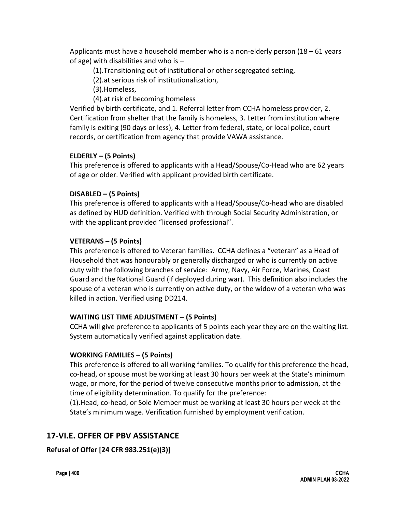Applicants must have a household member who is a non-elderly person (18 – 61 years of age) with disabilities and who is –

- (1).Transitioning out of institutional or other segregated setting,
- (2).at serious risk of institutionalization,
- (3).Homeless,
- (4).at risk of becoming homeless

Verified by birth certificate, and 1. Referral letter from CCHA homeless provider, 2. Certification from shelter that the family is homeless, 3. Letter from institution where family is exiting (90 days or less), 4. Letter from federal, state, or local police, court records, or certification from agency that provide VAWA assistance.

#### **ELDERLY – (5 Points)**

This preference is offered to applicants with a Head/Spouse/Co-Head who are 62 years of age or older. Verified with applicant provided birth certificate.

#### **DISABLED – (5 Points)**

This preference is offered to applicants with a Head/Spouse/Co-head who are disabled as defined by HUD definition. Verified with through Social Security Administration, or with the applicant provided "licensed professional".

#### **VETERANS – (5 Points)**

This preference is offered to Veteran families. CCHA defines a "veteran" as a Head of Household that was honourably or generally discharged or who is currently on active duty with the following branches of service: Army, Navy, Air Force, Marines, Coast Guard and the National Guard (if deployed during war). This definition also includes the spouse of a veteran who is currently on active duty, or the widow of a veteran who was killed in action. Verified using DD214.

#### **WAITING LIST TIME ADJUSTMENT – (5 Points)**

CCHA will give preference to applicants of 5 points each year they are on the waiting list. System automatically verified against application date.

#### **WORKING FAMILIES – (5 Points)**

This preference is offered to all working families. To qualify for this preference the head, co-head, or spouse must be working at least 30 hours per week at the State's minimum wage, or more, for the period of twelve consecutive months prior to admission, at the time of eligibility determination. To qualify for the preference:

(1).Head, co-head, or Sole Member must be working at least 30 hours per week at the State's minimum wage. Verification furnished by employment verification.

# **17-VI.E. OFFER OF PBV ASSISTANCE**

## **Refusal of Offer [24 CFR 983.251(e)(3)]**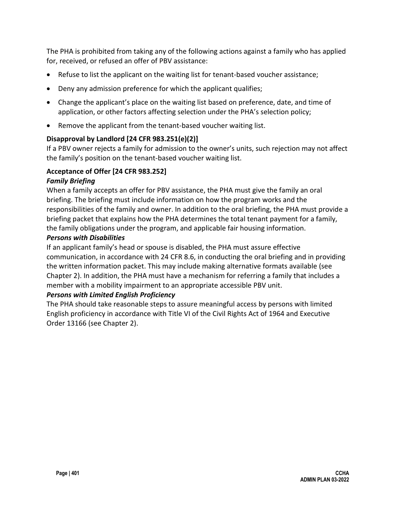The PHA is prohibited from taking any of the following actions against a family who has applied for, received, or refused an offer of PBV assistance:

- Refuse to list the applicant on the waiting list for tenant-based voucher assistance;
- Deny any admission preference for which the applicant qualifies;
- Change the applicant's place on the waiting list based on preference, date, and time of application, or other factors affecting selection under the PHA's selection policy;
- Remove the applicant from the tenant-based voucher waiting list.

### **Disapproval by Landlord [24 CFR 983.251(e)(2)]**

If a PBV owner rejects a family for admission to the owner's units, such rejection may not affect the family's position on the tenant-based voucher waiting list.

### **Acceptance of Offer [24 CFR 983.252]**

#### *Family Briefing*

When a family accepts an offer for PBV assistance, the PHA must give the family an oral briefing. The briefing must include information on how the program works and the responsibilities of the family and owner. In addition to the oral briefing, the PHA must provide a briefing packet that explains how the PHA determines the total tenant payment for a family, the family obligations under the program, and applicable fair housing information.

#### *Persons with Disabilities*

If an applicant family's head or spouse is disabled, the PHA must assure effective communication, in accordance with 24 CFR 8.6, in conducting the oral briefing and in providing the written information packet. This may include making alternative formats available (see Chapter 2). In addition, the PHA must have a mechanism for referring a family that includes a member with a mobility impairment to an appropriate accessible PBV unit.

#### *Persons with Limited English Proficiency*

The PHA should take reasonable steps to assure meaningful access by persons with limited English proficiency in accordance with Title VI of the Civil Rights Act of 1964 and Executive Order 13166 (see Chapter 2).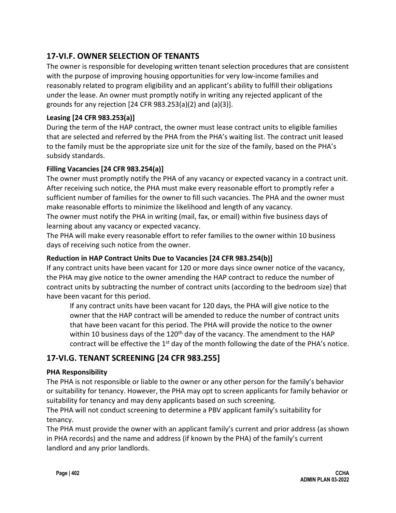## **17-VI.F. OWNER SELECTION OF TENANTS**

The owner is responsible for developing written tenant selection procedures that are consistent with the purpose of improving housing opportunities for very low-income families and reasonably related to program eligibility and an applicant's ability to fulfill their obligations under the lease. An owner must promptly notify in writing any rejected applicant of the grounds for any rejection [24 CFR 983.253(a)(2) and (a)(3)].

## **Leasing [24 CFR 983.253(a)]**

During the term of the HAP contract, the owner must lease contract units to eligible families that are selected and referred by the PHA from the PHA's waiting list. The contract unit leased to the family must be the appropriate size unit for the size of the family, based on the PHA's subsidy standards.

### **Filling Vacancies [24 CFR 983.254(a)]**

The owner must promptly notify the PHA of any vacancy or expected vacancy in a contract unit. After receiving such notice, the PHA must make every reasonable effort to promptly refer a sufficient number of families for the owner to fill such vacancies. The PHA and the owner must make reasonable efforts to minimize the likelihood and length of any vacancy.

The owner must notify the PHA in writing (mail, fax, or email) within five business days of learning about any vacancy or expected vacancy.

The PHA will make every reasonable effort to refer families to the owner within 10 business days of receiving such notice from the owner.

### **Reduction in HAP Contract Units Due to Vacancies [24 CFR 983.254(b)]**

If any contract units have been vacant for 120 or more days since owner notice of the vacancy, the PHA may give notice to the owner amending the HAP contract to reduce the number of contract units by subtracting the number of contract units (according to the bedroom size) that have been vacant for this period.

If any contract units have been vacant for 120 days, the PHA will give notice to the owner that the HAP contract will be amended to reduce the number of contract units that have been vacant for this period. The PHA will provide the notice to the owner within 10 business days of the  $120<sup>th</sup>$  day of the vacancy. The amendment to the HAP contract will be effective the  $1<sup>st</sup>$  day of the month following the date of the PHA's notice.

## **17-VI.G. TENANT SCREENING [24 CFR 983.255]**

#### **PHA Responsibility**

The PHA is not responsible or liable to the owner or any other person for the family's behavior or suitability for tenancy. However, the PHA may opt to screen applicants for family behavior or suitability for tenancy and may deny applicants based on such screening.

The PHA will not conduct screening to determine a PBV applicant family's suitability for tenancy.

The PHA must provide the owner with an applicant family's current and prior address (as shown in PHA records) and the name and address (if known by the PHA) of the family's current landlord and any prior landlords.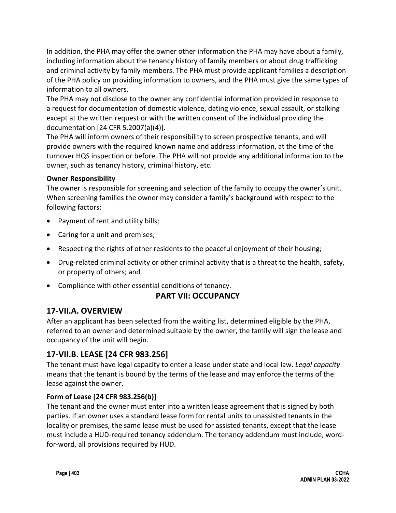In addition, the PHA may offer the owner other information the PHA may have about a family, including information about the tenancy history of family members or about drug trafficking and criminal activity by family members. The PHA must provide applicant families a description of the PHA policy on providing information to owners, and the PHA must give the same types of information to all owners.

The PHA may not disclose to the owner any confidential information provided in response to a request for documentation of domestic violence, dating violence, sexual assault, or stalking except at the written request or with the written consent of the individual providing the documentation [24 CFR 5.2007(a)(4)].

The PHA will inform owners of their responsibility to screen prospective tenants, and will provide owners with the required known name and address information, at the time of the turnover HQS inspection or before. The PHA will not provide any additional information to the owner, such as tenancy history, criminal history, etc.

#### **Owner Responsibility**

The owner is responsible for screening and selection of the family to occupy the owner's unit. When screening families the owner may consider a family's background with respect to the following factors:

- Payment of rent and utility bills;
- Caring for a unit and premises;
- Respecting the rights of other residents to the peaceful enjoyment of their housing;
- Drug-related criminal activity or other criminal activity that is a threat to the health, safety, or property of others; and
- Compliance with other essential conditions of tenancy.

## **PART VII: OCCUPANCY**

## **17-VII.A. OVERVIEW**

After an applicant has been selected from the waiting list, determined eligible by the PHA, referred to an owner and determined suitable by the owner, the family will sign the lease and occupancy of the unit will begin.

# **17-VII.B. LEASE [24 CFR 983.256]**

The tenant must have legal capacity to enter a lease under state and local law. *Legal capacity* means that the tenant is bound by the terms of the lease and may enforce the terms of the lease against the owner.

#### **Form of Lease [24 CFR 983.256(b)]**

The tenant and the owner must enter into a written lease agreement that is signed by both parties. If an owner uses a standard lease form for rental units to unassisted tenants in the locality or premises, the same lease must be used for assisted tenants, except that the lease must include a HUD-required tenancy addendum. The tenancy addendum must include, wordfor-word, all provisions required by HUD.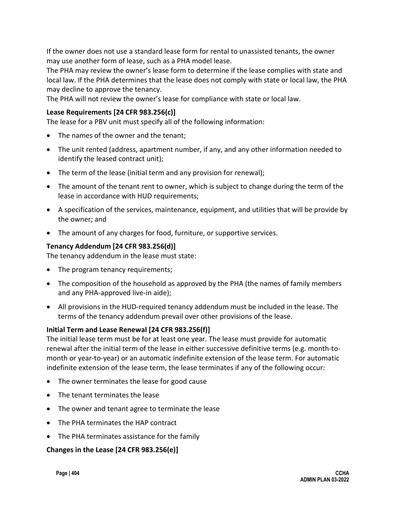If the owner does not use a standard lease form for rental to unassisted tenants, the owner may use another form of lease, such as a PHA model lease.

The PHA may review the owner's lease form to determine if the lease complies with state and local law. If the PHA determines that the lease does not comply with state or local law, the PHA may decline to approve the tenancy.

The PHA will not review the owner's lease for compliance with state or local law.

### **Lease Requirements [24 CFR 983.256(c)]**

The lease for a PBV unit must specify all of the following information:

- The names of the owner and the tenant;
- The unit rented (address, apartment number, if any, and any other information needed to identify the leased contract unit);
- The term of the lease (initial term and any provision for renewal);
- The amount of the tenant rent to owner, which is subject to change during the term of the lease in accordance with HUD requirements;
- A specification of the services, maintenance, equipment, and utilities that will be provide by the owner; and
- The amount of any charges for food, furniture, or supportive services.

## **Tenancy Addendum [24 CFR 983.256(d)]**

The tenancy addendum in the lease must state:

- The program tenancy requirements;
- The composition of the household as approved by the PHA (the names of family members and any PHA-approved live-in aide);
- All provisions in the HUD-required tenancy addendum must be included in the lease. The terms of the tenancy addendum prevail over other provisions of the lease.

#### **Initial Term and Lease Renewal [24 CFR 983.256(f)]**

The initial lease term must be for at least one year. The lease must provide for automatic renewal after the initial term of the lease in either successive definitive terms (e.g. month-tomonth or year-to-year) or an automatic indefinite extension of the lease term. For automatic indefinite extension of the lease term, the lease terminates if any of the following occur:

- The owner terminates the lease for good cause
- The tenant terminates the lease
- The owner and tenant agree to terminate the lease
- The PHA terminates the HAP contract
- The PHA terminates assistance for the family

#### **Changes in the Lease [24 CFR 983.256(e)]**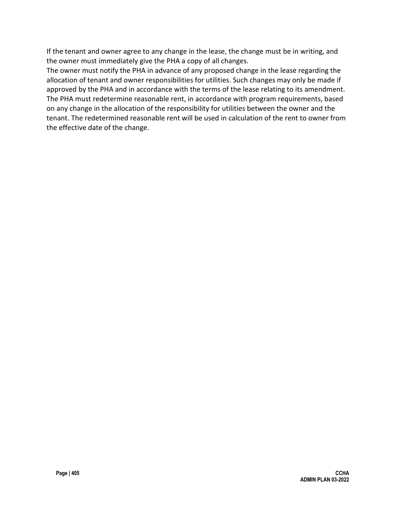If the tenant and owner agree to any change in the lease, the change must be in writing, and the owner must immediately give the PHA a copy of all changes.

The owner must notify the PHA in advance of any proposed change in the lease regarding the allocation of tenant and owner responsibilities for utilities. Such changes may only be made if approved by the PHA and in accordance with the terms of the lease relating to its amendment. The PHA must redetermine reasonable rent, in accordance with program requirements, based on any change in the allocation of the responsibility for utilities between the owner and the tenant. The redetermined reasonable rent will be used in calculation of the rent to owner from the effective date of the change.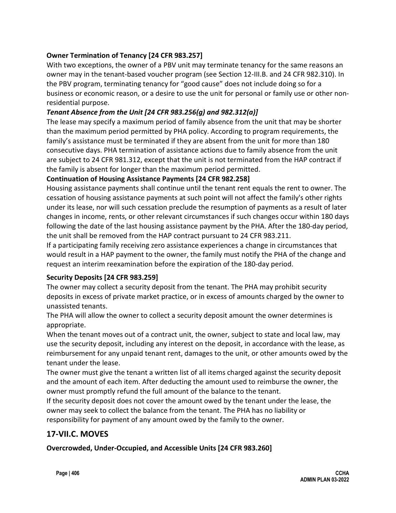### **Owner Termination of Tenancy [24 CFR 983.257]**

With two exceptions, the owner of a PBV unit may terminate tenancy for the same reasons an owner may in the tenant-based voucher program (see Section 12-III.B. and 24 CFR 982.310). In the PBV program, terminating tenancy for "good cause" does not include doing so for a business or economic reason, or a desire to use the unit for personal or family use or other nonresidential purpose.

### *Tenant Absence from the Unit [24 CFR 983.256(g) and 982.312(a)]*

The lease may specify a maximum period of family absence from the unit that may be shorter than the maximum period permitted by PHA policy. According to program requirements, the family's assistance must be terminated if they are absent from the unit for more than 180 consecutive days. PHA termination of assistance actions due to family absence from the unit are subject to 24 CFR 981.312, except that the unit is not terminated from the HAP contract if the family is absent for longer than the maximum period permitted.

#### **Continuation of Housing Assistance Payments [24 CFR 982.258]**

Housing assistance payments shall continue until the tenant rent equals the rent to owner. The cessation of housing assistance payments at such point will not affect the family's other rights under its lease, nor will such cessation preclude the resumption of payments as a result of later changes in income, rents, or other relevant circumstances if such changes occur within 180 days following the date of the last housing assistance payment by the PHA. After the 180-day period, the unit shall be removed from the HAP contract pursuant to 24 CFR 983.211.

If a participating family receiving zero assistance experiences a change in circumstances that would result in a HAP payment to the owner, the family must notify the PHA of the change and request an interim reexamination before the expiration of the 180-day period.

#### **Security Deposits [24 CFR 983.259]**

The owner may collect a security deposit from the tenant. The PHA may prohibit security deposits in excess of private market practice, or in excess of amounts charged by the owner to unassisted tenants.

The PHA will allow the owner to collect a security deposit amount the owner determines is appropriate.

When the tenant moves out of a contract unit, the owner, subject to state and local law, may use the security deposit, including any interest on the deposit, in accordance with the lease, as reimbursement for any unpaid tenant rent, damages to the unit, or other amounts owed by the tenant under the lease.

The owner must give the tenant a written list of all items charged against the security deposit and the amount of each item. After deducting the amount used to reimburse the owner, the owner must promptly refund the full amount of the balance to the tenant.

If the security deposit does not cover the amount owed by the tenant under the lease, the owner may seek to collect the balance from the tenant. The PHA has no liability or responsibility for payment of any amount owed by the family to the owner.

## **17-VII.C. MOVES**

**Overcrowded, Under-Occupied, and Accessible Units [24 CFR 983.260]**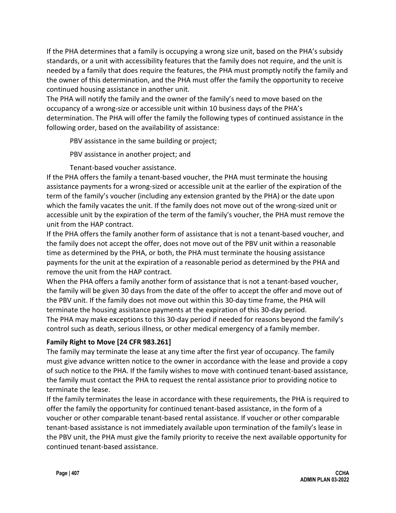If the PHA determines that a family is occupying a wrong size unit, based on the PHA's subsidy standards, or a unit with accessibility features that the family does not require, and the unit is needed by a family that does require the features, the PHA must promptly notify the family and the owner of this determination, and the PHA must offer the family the opportunity to receive continued housing assistance in another unit.

The PHA will notify the family and the owner of the family's need to move based on the occupancy of a wrong-size or accessible unit within 10 business days of the PHA's determination. The PHA will offer the family the following types of continued assistance in the following order, based on the availability of assistance:

PBV assistance in the same building or project;

PBV assistance in another project; and

Tenant-based voucher assistance.

If the PHA offers the family a tenant-based voucher, the PHA must terminate the housing assistance payments for a wrong-sized or accessible unit at the earlier of the expiration of the term of the family's voucher (including any extension granted by the PHA) or the date upon which the family vacates the unit. If the family does not move out of the wrong-sized unit or accessible unit by the expiration of the term of the family's voucher, the PHA must remove the unit from the HAP contract.

If the PHA offers the family another form of assistance that is not a tenant-based voucher, and the family does not accept the offer, does not move out of the PBV unit within a reasonable time as determined by the PHA, or both, the PHA must terminate the housing assistance payments for the unit at the expiration of a reasonable period as determined by the PHA and remove the unit from the HAP contract.

When the PHA offers a family another form of assistance that is not a tenant-based voucher, the family will be given 30 days from the date of the offer to accept the offer and move out of the PBV unit. If the family does not move out within this 30-day time frame, the PHA will terminate the housing assistance payments at the expiration of this 30-day period. The PHA may make exceptions to this 30-day period if needed for reasons beyond the family's control such as death, serious illness, or other medical emergency of a family member.

## **Family Right to Move [24 CFR 983.261]**

The family may terminate the lease at any time after the first year of occupancy. The family must give advance written notice to the owner in accordance with the lease and provide a copy of such notice to the PHA. If the family wishes to move with continued tenant-based assistance, the family must contact the PHA to request the rental assistance prior to providing notice to terminate the lease.

If the family terminates the lease in accordance with these requirements, the PHA is required to offer the family the opportunity for continued tenant-based assistance, in the form of a voucher or other comparable tenant-based rental assistance. If voucher or other comparable tenant-based assistance is not immediately available upon termination of the family's lease in the PBV unit, the PHA must give the family priority to receive the next available opportunity for continued tenant-based assistance.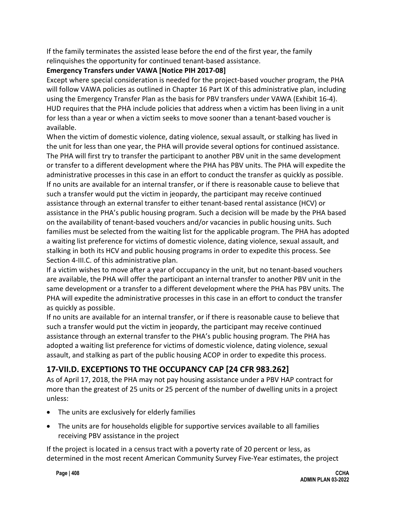If the family terminates the assisted lease before the end of the first year, the family relinquishes the opportunity for continued tenant-based assistance.

### **Emergency Transfers under VAWA [Notice PIH 2017-08]**

Except where special consideration is needed for the project-based voucher program, the PHA will follow VAWA policies as outlined in Chapter 16 Part IX of this administrative plan, including using the Emergency Transfer Plan as the basis for PBV transfers under VAWA (Exhibit 16-4). HUD requires that the PHA include policies that address when a victim has been living in a unit for less than a year or when a victim seeks to move sooner than a tenant-based voucher is available.

When the victim of domestic violence, dating violence, sexual assault, or stalking has lived in the unit for less than one year, the PHA will provide several options for continued assistance. The PHA will first try to transfer the participant to another PBV unit in the same development or transfer to a different development where the PHA has PBV units. The PHA will expedite the administrative processes in this case in an effort to conduct the transfer as quickly as possible. If no units are available for an internal transfer, or if there is reasonable cause to believe that such a transfer would put the victim in jeopardy, the participant may receive continued assistance through an external transfer to either tenant-based rental assistance (HCV) or assistance in the PHA's public housing program. Such a decision will be made by the PHA based on the availability of tenant-based vouchers and/or vacancies in public housing units. Such families must be selected from the waiting list for the applicable program. The PHA has adopted a waiting list preference for victims of domestic violence, dating violence, sexual assault, and stalking in both its HCV and public housing programs in order to expedite this process. See Section 4-III.C. of this administrative plan.

If a victim wishes to move after a year of occupancy in the unit, but no tenant-based vouchers are available, the PHA will offer the participant an internal transfer to another PBV unit in the same development or a transfer to a different development where the PHA has PBV units. The PHA will expedite the administrative processes in this case in an effort to conduct the transfer as quickly as possible.

If no units are available for an internal transfer, or if there is reasonable cause to believe that such a transfer would put the victim in jeopardy, the participant may receive continued assistance through an external transfer to the PHA's public housing program. The PHA has adopted a waiting list preference for victims of domestic violence, dating violence, sexual assault, and stalking as part of the public housing ACOP in order to expedite this process.

# **17-VII.D. EXCEPTIONS TO THE OCCUPANCY CAP [24 CFR 983.262]**

As of April 17, 2018, the PHA may not pay housing assistance under a PBV HAP contract for more than the greatest of 25 units or 25 percent of the number of dwelling units in a project unless:

- The units are exclusively for elderly families
- The units are for households eligible for supportive services available to all families receiving PBV assistance in the project

If the project is located in a census tract with a poverty rate of 20 percent or less, as determined in the most recent American Community Survey Five-Year estimates, the project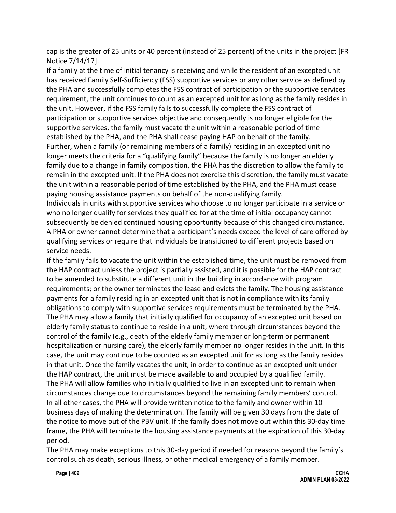cap is the greater of 25 units or 40 percent (instead of 25 percent) of the units in the project [FR Notice 7/14/17].

If a family at the time of initial tenancy is receiving and while the resident of an excepted unit has received Family Self-Sufficiency (FSS) supportive services or any other service as defined by the PHA and successfully completes the FSS contract of participation or the supportive services requirement, the unit continues to count as an excepted unit for as long as the family resides in the unit. However, if the FSS family fails to successfully complete the FSS contract of participation or supportive services objective and consequently is no longer eligible for the supportive services, the family must vacate the unit within a reasonable period of time established by the PHA, and the PHA shall cease paying HAP on behalf of the family. Further, when a family (or remaining members of a family) residing in an excepted unit no longer meets the criteria for a "qualifying family" because the family is no longer an elderly family due to a change in family composition, the PHA has the discretion to allow the family to remain in the excepted unit. If the PHA does not exercise this discretion, the family must vacate the unit within a reasonable period of time established by the PHA, and the PHA must cease paying housing assistance payments on behalf of the non-qualifying family.

Individuals in units with supportive services who choose to no longer participate in a service or who no longer qualify for services they qualified for at the time of initial occupancy cannot subsequently be denied continued housing opportunity because of this changed circumstance. A PHA or owner cannot determine that a participant's needs exceed the level of care offered by qualifying services or require that individuals be transitioned to different projects based on service needs.

If the family fails to vacate the unit within the established time, the unit must be removed from the HAP contract unless the project is partially assisted, and it is possible for the HAP contract to be amended to substitute a different unit in the building in accordance with program requirements; or the owner terminates the lease and evicts the family. The housing assistance payments for a family residing in an excepted unit that is not in compliance with its family obligations to comply with supportive services requirements must be terminated by the PHA. The PHA may allow a family that initially qualified for occupancy of an excepted unit based on elderly family status to continue to reside in a unit, where through circumstances beyond the control of the family (e.g., death of the elderly family member or long-term or permanent hospitalization or nursing care), the elderly family member no longer resides in the unit. In this case, the unit may continue to be counted as an excepted unit for as long as the family resides in that unit. Once the family vacates the unit, in order to continue as an excepted unit under the HAP contract, the unit must be made available to and occupied by a qualified family. The PHA will allow families who initially qualified to live in an excepted unit to remain when circumstances change due to circumstances beyond the remaining family members' control. In all other cases, the PHA will provide written notice to the family and owner within 10 business days of making the determination. The family will be given 30 days from the date of the notice to move out of the PBV unit. If the family does not move out within this 30-day time frame, the PHA will terminate the housing assistance payments at the expiration of this 30-day period.

The PHA may make exceptions to this 30-day period if needed for reasons beyond the family's control such as death, serious illness, or other medical emergency of a family member.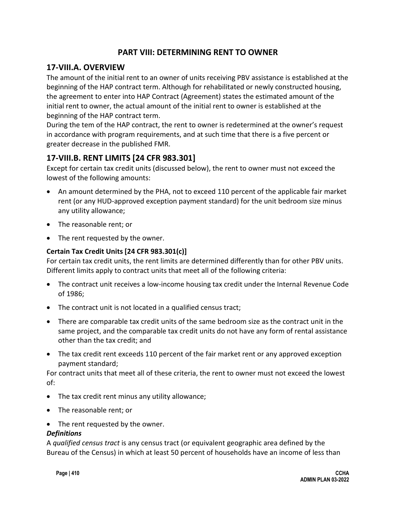## **PART VIII: DETERMINING RENT TO OWNER**

## **17-VIII.A. OVERVIEW**

The amount of the initial rent to an owner of units receiving PBV assistance is established at the beginning of the HAP contract term. Although for rehabilitated or newly constructed housing, the agreement to enter into HAP Contract (Agreement) states the estimated amount of the initial rent to owner, the actual amount of the initial rent to owner is established at the beginning of the HAP contract term.

During the tem of the HAP contract, the rent to owner is redetermined at the owner's request in accordance with program requirements, and at such time that there is a five percent or greater decrease in the published FMR.

## **17-VIII.B. RENT LIMITS [24 CFR 983.301]**

Except for certain tax credit units (discussed below), the rent to owner must not exceed the lowest of the following amounts:

- An amount determined by the PHA, not to exceed 110 percent of the applicable fair market rent (or any HUD-approved exception payment standard) for the unit bedroom size minus any utility allowance;
- The reasonable rent; or
- The rent requested by the owner.

#### **Certain Tax Credit Units [24 CFR 983.301(c)]**

For certain tax credit units, the rent limits are determined differently than for other PBV units. Different limits apply to contract units that meet all of the following criteria:

- The contract unit receives a low-income housing tax credit under the Internal Revenue Code of 1986;
- The contract unit is not located in a qualified census tract;
- There are comparable tax credit units of the same bedroom size as the contract unit in the same project, and the comparable tax credit units do not have any form of rental assistance other than the tax credit; and
- The tax credit rent exceeds 110 percent of the fair market rent or any approved exception payment standard;

For contract units that meet all of these criteria, the rent to owner must not exceed the lowest of:

- The tax credit rent minus any utility allowance;
- The reasonable rent; or
- The rent requested by the owner.

#### *Definitions*

A *qualified census tract* is any census tract (or equivalent geographic area defined by the Bureau of the Census) in which at least 50 percent of households have an income of less than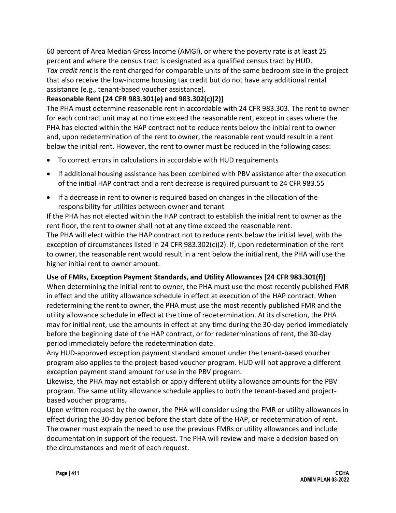60 percent of Area Median Gross Income (AMGI), or where the poverty rate is at least 25 percent and where the census tract is designated as a qualified census tract by HUD. *Tax credit rent* is the rent charged for comparable units of the same bedroom size in the project that also receive the low-income housing tax credit but do not have any additional rental assistance (e.g., tenant-based voucher assistance).

## **Reasonable Rent [24 CFR 983.301(e) and 983.302(c)(2)]**

The PHA must determine reasonable rent in accordable with 24 CFR 983.303. The rent to owner for each contract unit may at no time exceed the reasonable rent, except in cases where the PHA has elected within the HAP contract not to reduce rents below the initial rent to owner and, upon redetermination of the rent to owner, the reasonable rent would result in a rent below the initial rent. However, the rent to owner must be reduced in the following cases:

- To correct errors in calculations in accordable with HUD requirements
- If additional housing assistance has been combined with PBV assistance after the execution of the initial HAP contract and a rent decrease is required pursuant to 24 CFR 983.55
- If a decrease in rent to owner is required based on changes in the allocation of the responsibility for utilities between owner and tenant

If the PHA has not elected within the HAP contract to establish the initial rent to owner as the rent floor, the rent to owner shall not at any time exceed the reasonable rent.

The PHA will elect within the HAP contract not to reduce rents below the initial level, with the exception of circumstances listed in 24 CFR 983.302(c)(2). If, upon redetermination of the rent to owner, the reasonable rent would result in a rent below the initial rent, the PHA will use the higher initial rent to owner amount.

## **Use of FMRs, Exception Payment Standards, and Utility Allowances [24 CFR 983.301(f)]**

When determining the initial rent to owner, the PHA must use the most recently published FMR in effect and the utility allowance schedule in effect at execution of the HAP contract. When redetermining the rent to owner, the PHA must use the most recently published FMR and the utility allowance schedule in effect at the time of redetermination. At its discretion, the PHA may for initial rent, use the amounts in effect at any time during the 30-day period immediately before the beginning date of the HAP contract, or for redeterminations of rent, the 30-day period immediately before the redetermination date.

Any HUD-approved exception payment standard amount under the tenant-based voucher program also applies to the project-based voucher program. HUD will not approve a different exception payment stand amount for use in the PBV program.

Likewise, the PHA may not establish or apply different utility allowance amounts for the PBV program. The same utility allowance schedule applies to both the tenant-based and projectbased voucher programs.

Upon written request by the owner, the PHA will consider using the FMR or utility allowances in effect during the 30-day period before the start date of the HAP, or redetermination of rent. The owner must explain the need to use the previous FMRs or utility allowances and include documentation in support of the request. The PHA will review and make a decision based on the circumstances and merit of each request.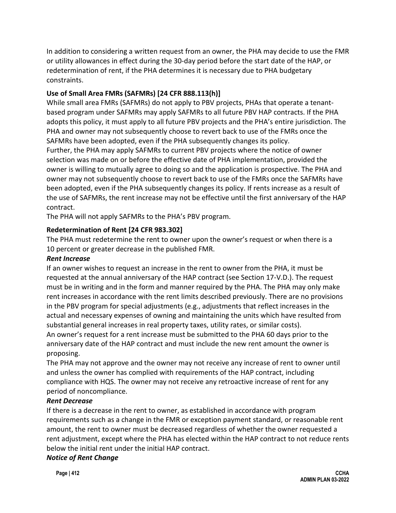In addition to considering a written request from an owner, the PHA may decide to use the FMR or utility allowances in effect during the 30-day period before the start date of the HAP, or redetermination of rent, if the PHA determines it is necessary due to PHA budgetary constraints.

## **Use of Small Area FMRs (SAFMRs) [24 CFR 888.113(h)]**

While small area FMRs (SAFMRs) do not apply to PBV projects, PHAs that operate a tenantbased program under SAFMRs may apply SAFMRs to all future PBV HAP contracts. If the PHA adopts this policy, it must apply to all future PBV projects and the PHA's entire jurisdiction. The PHA and owner may not subsequently choose to revert back to use of the FMRs once the SAFMRs have been adopted, even if the PHA subsequently changes its policy.

Further, the PHA may apply SAFMRs to current PBV projects where the notice of owner selection was made on or before the effective date of PHA implementation, provided the owner is willing to mutually agree to doing so and the application is prospective. The PHA and owner may not subsequently choose to revert back to use of the FMRs once the SAFMRs have been adopted, even if the PHA subsequently changes its policy. If rents increase as a result of the use of SAFMRs, the rent increase may not be effective until the first anniversary of the HAP contract.

The PHA will not apply SAFMRs to the PHA's PBV program.

### **Redetermination of Rent [24 CFR 983.302]**

The PHA must redetermine the rent to owner upon the owner's request or when there is a 10 percent or greater decrease in the published FMR.

#### *Rent Increase*

If an owner wishes to request an increase in the rent to owner from the PHA, it must be requested at the annual anniversary of the HAP contract (see Section 17-V.D.). The request must be in writing and in the form and manner required by the PHA. The PHA may only make rent increases in accordance with the rent limits described previously. There are no provisions in the PBV program for special adjustments (e.g., adjustments that reflect increases in the actual and necessary expenses of owning and maintaining the units which have resulted from substantial general increases in real property taxes, utility rates, or similar costs). An owner's request for a rent increase must be submitted to the PHA 60 days prior to the anniversary date of the HAP contract and must include the new rent amount the owner is proposing.

The PHA may not approve and the owner may not receive any increase of rent to owner until and unless the owner has complied with requirements of the HAP contract, including compliance with HQS. The owner may not receive any retroactive increase of rent for any period of noncompliance.

#### *Rent Decrease*

If there is a decrease in the rent to owner, as established in accordance with program requirements such as a change in the FMR or exception payment standard, or reasonable rent amount, the rent to owner must be decreased regardless of whether the owner requested a rent adjustment, except where the PHA has elected within the HAP contract to not reduce rents below the initial rent under the initial HAP contract.

#### *Notice of Rent Change*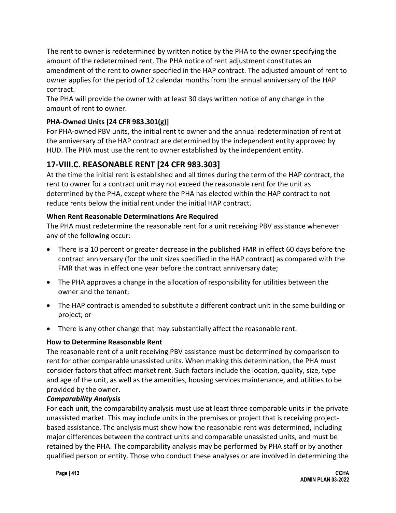The rent to owner is redetermined by written notice by the PHA to the owner specifying the amount of the redetermined rent. The PHA notice of rent adjustment constitutes an amendment of the rent to owner specified in the HAP contract. The adjusted amount of rent to owner applies for the period of 12 calendar months from the annual anniversary of the HAP contract.

The PHA will provide the owner with at least 30 days written notice of any change in the amount of rent to owner.

## **PHA-Owned Units [24 CFR 983.301(g)]**

For PHA-owned PBV units, the initial rent to owner and the annual redetermination of rent at the anniversary of the HAP contract are determined by the independent entity approved by HUD. The PHA must use the rent to owner established by the independent entity.

# **17-VIII.C. REASONABLE RENT [24 CFR 983.303]**

At the time the initial rent is established and all times during the term of the HAP contract, the rent to owner for a contract unit may not exceed the reasonable rent for the unit as determined by the PHA, except where the PHA has elected within the HAP contract to not reduce rents below the initial rent under the initial HAP contract.

### **When Rent Reasonable Determinations Are Required**

The PHA must redetermine the reasonable rent for a unit receiving PBV assistance whenever any of the following occur:

- There is a 10 percent or greater decrease in the published FMR in effect 60 days before the contract anniversary (for the unit sizes specified in the HAP contract) as compared with the FMR that was in effect one year before the contract anniversary date;
- The PHA approves a change in the allocation of responsibility for utilities between the owner and the tenant;
- The HAP contract is amended to substitute a different contract unit in the same building or project; or
- There is any other change that may substantially affect the reasonable rent.

## **How to Determine Reasonable Rent**

The reasonable rent of a unit receiving PBV assistance must be determined by comparison to rent for other comparable unassisted units. When making this determination, the PHA must consider factors that affect market rent. Such factors include the location, quality, size, type and age of the unit, as well as the amenities, housing services maintenance, and utilities to be provided by the owner.

#### *Comparability Analysis*

For each unit, the comparability analysis must use at least three comparable units in the private unassisted market. This may include units in the premises or project that is receiving projectbased assistance. The analysis must show how the reasonable rent was determined, including major differences between the contract units and comparable unassisted units, and must be retained by the PHA. The comparability analysis may be performed by PHA staff or by another qualified person or entity. Those who conduct these analyses or are involved in determining the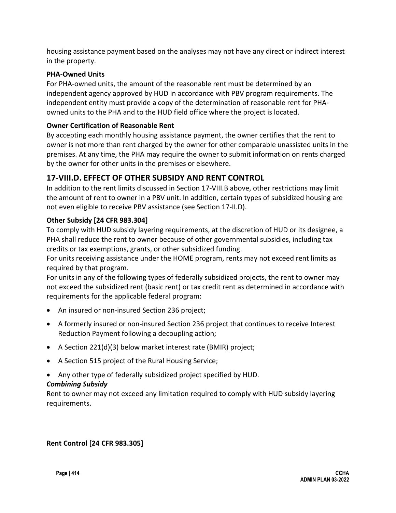housing assistance payment based on the analyses may not have any direct or indirect interest in the property.

#### **PHA-Owned Units**

For PHA-owned units, the amount of the reasonable rent must be determined by an independent agency approved by HUD in accordance with PBV program requirements. The independent entity must provide a copy of the determination of reasonable rent for PHAowned units to the PHA and to the HUD field office where the project is located.

### **Owner Certification of Reasonable Rent**

By accepting each monthly housing assistance payment, the owner certifies that the rent to owner is not more than rent charged by the owner for other comparable unassisted units in the premises. At any time, the PHA may require the owner to submit information on rents charged by the owner for other units in the premises or elsewhere.

## **17-VIII.D. EFFECT OF OTHER SUBSIDY AND RENT CONTROL**

In addition to the rent limits discussed in Section 17-VIII.B above, other restrictions may limit the amount of rent to owner in a PBV unit. In addition, certain types of subsidized housing are not even eligible to receive PBV assistance (see Section 17-II.D).

## **Other Subsidy [24 CFR 983.304]**

To comply with HUD subsidy layering requirements, at the discretion of HUD or its designee, a PHA shall reduce the rent to owner because of other governmental subsidies, including tax credits or tax exemptions, grants, or other subsidized funding.

For units receiving assistance under the HOME program, rents may not exceed rent limits as required by that program.

For units in any of the following types of federally subsidized projects, the rent to owner may not exceed the subsidized rent (basic rent) or tax credit rent as determined in accordance with requirements for the applicable federal program:

- An insured or non-insured Section 236 project;
- A formerly insured or non-insured Section 236 project that continues to receive Interest Reduction Payment following a decoupling action;
- A Section 221(d)(3) below market interest rate (BMIR) project;
- A Section 515 project of the Rural Housing Service;
- Any other type of federally subsidized project specified by HUD.

#### *Combining Subsidy*

Rent to owner may not exceed any limitation required to comply with HUD subsidy layering requirements.

#### **Rent Control [24 CFR 983.305]**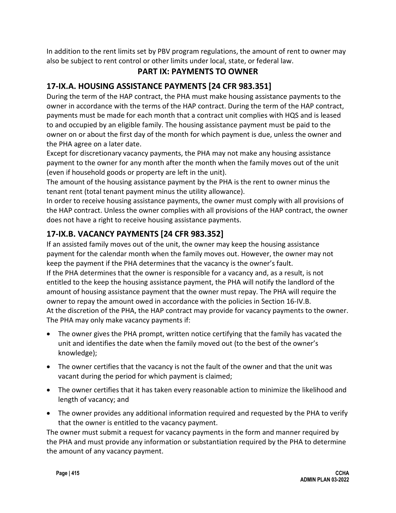In addition to the rent limits set by PBV program regulations, the amount of rent to owner may also be subject to rent control or other limits under local, state, or federal law.

# **PART IX: PAYMENTS TO OWNER**

# **17-IX.A. HOUSING ASSISTANCE PAYMENTS [24 CFR 983.351]**

During the term of the HAP contract, the PHA must make housing assistance payments to the owner in accordance with the terms of the HAP contract. During the term of the HAP contract, payments must be made for each month that a contract unit complies with HQS and is leased to and occupied by an eligible family. The housing assistance payment must be paid to the owner on or about the first day of the month for which payment is due, unless the owner and the PHA agree on a later date.

Except for discretionary vacancy payments, the PHA may not make any housing assistance payment to the owner for any month after the month when the family moves out of the unit (even if household goods or property are left in the unit).

The amount of the housing assistance payment by the PHA is the rent to owner minus the tenant rent (total tenant payment minus the utility allowance).

In order to receive housing assistance payments, the owner must comply with all provisions of the HAP contract. Unless the owner complies with all provisions of the HAP contract, the owner does not have a right to receive housing assistance payments.

# **17-IX.B. VACANCY PAYMENTS [24 CFR 983.352]**

If an assisted family moves out of the unit, the owner may keep the housing assistance payment for the calendar month when the family moves out. However, the owner may not keep the payment if the PHA determines that the vacancy is the owner's fault. If the PHA determines that the owner is responsible for a vacancy and, as a result, is not entitled to the keep the housing assistance payment, the PHA will notify the landlord of the amount of housing assistance payment that the owner must repay. The PHA will require the owner to repay the amount owed in accordance with the policies in Section 16-IV.B. At the discretion of the PHA, the HAP contract may provide for vacancy payments to the owner. The PHA may only make vacancy payments if:

- The owner gives the PHA prompt, written notice certifying that the family has vacated the unit and identifies the date when the family moved out (to the best of the owner's knowledge);
- The owner certifies that the vacancy is not the fault of the owner and that the unit was vacant during the period for which payment is claimed;
- The owner certifies that it has taken every reasonable action to minimize the likelihood and length of vacancy; and
- The owner provides any additional information required and requested by the PHA to verify that the owner is entitled to the vacancy payment.

The owner must submit a request for vacancy payments in the form and manner required by the PHA and must provide any information or substantiation required by the PHA to determine the amount of any vacancy payment.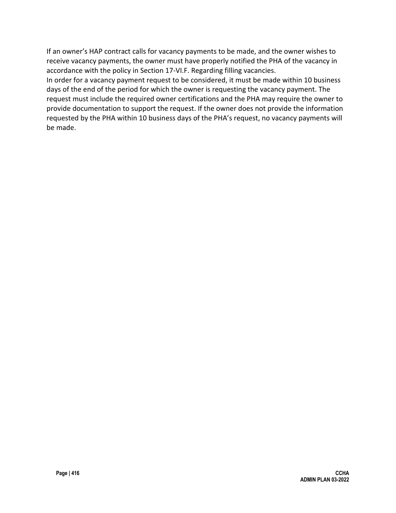If an owner's HAP contract calls for vacancy payments to be made, and the owner wishes to receive vacancy payments, the owner must have properly notified the PHA of the vacancy in accordance with the policy in Section 17-VI.F. Regarding filling vacancies.

In order for a vacancy payment request to be considered, it must be made within 10 business days of the end of the period for which the owner is requesting the vacancy payment. The request must include the required owner certifications and the PHA may require the owner to provide documentation to support the request. If the owner does not provide the information requested by the PHA within 10 business days of the PHA's request, no vacancy payments will be made.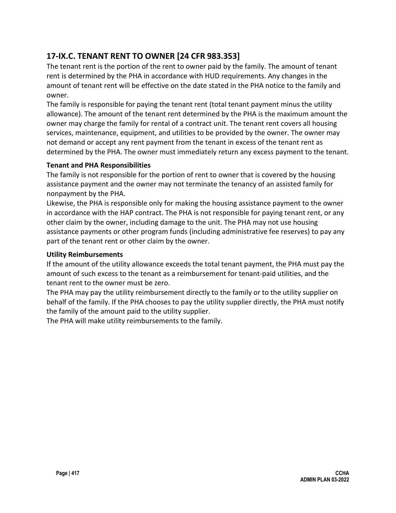# **17-IX.C. TENANT RENT TO OWNER [24 CFR 983.353]**

The tenant rent is the portion of the rent to owner paid by the family. The amount of tenant rent is determined by the PHA in accordance with HUD requirements. Any changes in the amount of tenant rent will be effective on the date stated in the PHA notice to the family and owner.

The family is responsible for paying the tenant rent (total tenant payment minus the utility allowance). The amount of the tenant rent determined by the PHA is the maximum amount the owner may charge the family for rental of a contract unit. The tenant rent covers all housing services, maintenance, equipment, and utilities to be provided by the owner. The owner may not demand or accept any rent payment from the tenant in excess of the tenant rent as determined by the PHA. The owner must immediately return any excess payment to the tenant.

#### **Tenant and PHA Responsibilities**

The family is not responsible for the portion of rent to owner that is covered by the housing assistance payment and the owner may not terminate the tenancy of an assisted family for nonpayment by the PHA.

Likewise, the PHA is responsible only for making the housing assistance payment to the owner in accordance with the HAP contract. The PHA is not responsible for paying tenant rent, or any other claim by the owner, including damage to the unit. The PHA may not use housing assistance payments or other program funds (including administrative fee reserves) to pay any part of the tenant rent or other claim by the owner.

#### **Utility Reimbursements**

If the amount of the utility allowance exceeds the total tenant payment, the PHA must pay the amount of such excess to the tenant as a reimbursement for tenant-paid utilities, and the tenant rent to the owner must be zero.

The PHA may pay the utility reimbursement directly to the family or to the utility supplier on behalf of the family. If the PHA chooses to pay the utility supplier directly, the PHA must notify the family of the amount paid to the utility supplier.

The PHA will make utility reimbursements to the family.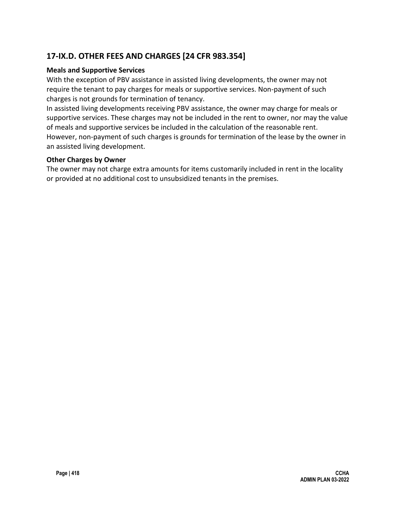# **17-IX.D. OTHER FEES AND CHARGES [24 CFR 983.354]**

#### **Meals and Supportive Services**

With the exception of PBV assistance in assisted living developments, the owner may not require the tenant to pay charges for meals or supportive services. Non-payment of such charges is not grounds for termination of tenancy.

In assisted living developments receiving PBV assistance, the owner may charge for meals or supportive services. These charges may not be included in the rent to owner, nor may the value of meals and supportive services be included in the calculation of the reasonable rent. However, non-payment of such charges is grounds for termination of the lease by the owner in an assisted living development.

#### **Other Charges by Owner**

The owner may not charge extra amounts for items customarily included in rent in the locality or provided at no additional cost to unsubsidized tenants in the premises.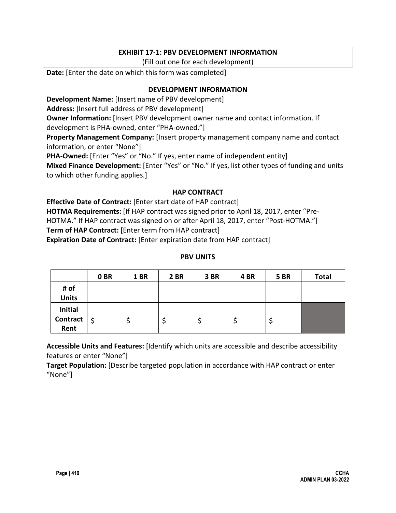### **EXHIBIT 17-1: PBV DEVELOPMENT INFORMATION**

(Fill out one for each development)

**Date:** [Enter the date on which this form was completed]

#### **DEVELOPMENT INFORMATION**

**Development Name:** [Insert name of PBV development]

**Address:** [Insert full address of PBV development]

**Owner Information:** [Insert PBV development owner name and contact information. If

development is PHA-owned, enter "PHA-owned."]

**Property Management Company:** [Insert property management company name and contact information, or enter "None"]

**PHA-Owned:** [Enter "Yes" or "No." If yes, enter name of independent entity]

**Mixed Finance Development:** [Enter "Yes" or "No." If yes, list other types of funding and units to which other funding applies.]

#### **HAP CONTRACT**

**Effective Date of Contract:** [Enter start date of HAP contract] **HOTMA Requirements:** [If HAP contract was signed prior to April 18, 2017, enter "Pre-HOTMA." If HAP contract was signed on or after April 18, 2017, enter "Post-HOTMA."] **Term of HAP Contract:** [Enter term from HAP contract] **Expiration Date of Contract:** [Enter expiration date from HAP contract]

#### **PBV UNITS**

|                 | 0 <sub>BR</sub> | <b>1 BR</b> | <b>2 BR</b> | 3BR | 4 BR | <b>5 BR</b> | <b>Total</b> |
|-----------------|-----------------|-------------|-------------|-----|------|-------------|--------------|
| # of            |                 |             |             |     |      |             |              |
| <b>Units</b>    |                 |             |             |     |      |             |              |
| <b>Initial</b>  |                 |             |             |     |      |             |              |
| <b>Contract</b> | ∣\$             |             |             |     |      |             |              |
| Rent            |                 |             |             |     |      |             |              |

**Accessible Units and Features:** [Identify which units are accessible and describe accessibility features or enter "None"]

**Target Population:** [Describe targeted population in accordance with HAP contract or enter "None"]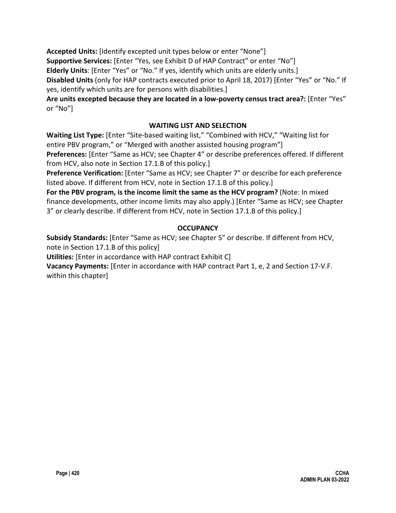**Accepted Units:** [Identify excepted unit types below or enter "None"] **Supportive Services:** [Enter "Yes, see Exhibit D of HAP Contract" or enter "No"] **Elderly Units**: [Enter "Yes" or "No." If yes, identify which units are elderly units.] **Disabled Units** (only for HAP contracts executed prior to April 18, 2017) [Enter "Yes" or "No." If yes, identify which units are for persons with disabilities.]

**Are units excepted because they are located in a low-poverty census tract area?:** [Enter "Yes" or "No"]

### **WAITING LIST AND SELECTION**

**Waiting List Type:** [Enter "Site-based waiting list," "Combined with HCV," "Waiting list for entire PBV program," or "Merged with another assisted housing program"]

**Preferences:** [Enter "Same as HCV; see Chapter 4" or describe preferences offered. If different from HCV, also note in Section 17.1.B of this policy.]

**Preference Verification:** [Enter "Same as HCV; see Chapter 7" or describe for each preference listed above. If different from HCV, note in Section 17.1.B of this policy.]

**For the PBV program, is the income limit the same as the HCV program?** (Note: In mixed finance developments, other income limits may also apply.) [Enter "Same as HCV; see Chapter 3" or clearly describe. If different from HCV, note in Section 17.1.B of this policy.]

### **OCCUPANCY**

**Subsidy Standards:** [Enter "Same as HCV; see Chapter 5" or describe. If different from HCV, note in Section 17.1.B of this policy]

**Utilities:** [Enter in accordance with HAP contract Exhibit C]

**Vacancy Payments:** [Enter in accordance with HAP contract Part 1, e, 2 and Section 17-V.F. within this chapter]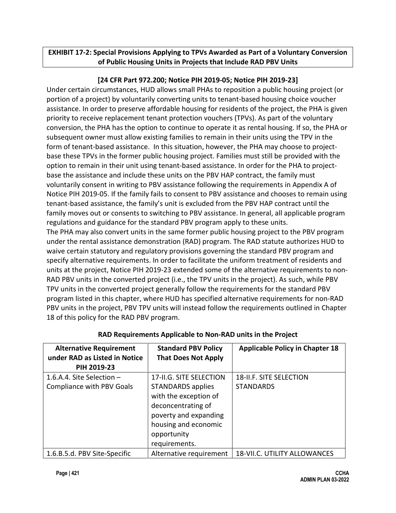## **EXHIBIT 17-2: Special Provisions Applying to TPVs Awarded as Part of a Voluntary Conversion of Public Housing Units in Projects that Include RAD PBV Units**

## **[24 CFR Part 972.200; Notice PIH 2019-05; Notice PIH 2019-23]**

Under certain circumstances, HUD allows small PHAs to reposition a public housing project (or portion of a project) by voluntarily converting units to tenant-based housing choice voucher assistance. In order to preserve affordable housing for residents of the project, the PHA is given priority to receive replacement tenant protection vouchers (TPVs). As part of the voluntary conversion, the PHA has the option to continue to operate it as rental housing. If so, the PHA or subsequent owner must allow existing families to remain in their units using the TPV in the form of tenant-based assistance. In this situation, however, the PHA may choose to projectbase these TPVs in the former public housing project. Families must still be provided with the option to remain in their unit using tenant-based assistance. In order for the PHA to projectbase the assistance and include these units on the PBV HAP contract, the family must voluntarily consent in writing to PBV assistance following the requirements in Appendix A of Notice PIH 2019-05. If the family fails to consent to PBV assistance and chooses to remain using tenant-based assistance, the family's unit is excluded from the PBV HAP contract until the family moves out or consents to switching to PBV assistance. In general, all applicable program regulations and guidance for the standard PBV program apply to these units. The PHA may also convert units in the same former public housing project to the PBV program

under the rental assistance demonstration (RAD) program. The RAD statute authorizes HUD to waive certain statutory and regulatory provisions governing the standard PBV program and specify alternative requirements. In order to facilitate the uniform treatment of residents and units at the project, Notice PIH 2019-23 extended some of the alternative requirements to non-RAD PBV units in the converted project (i.e., the TPV units in the project). As such, while PBV TPV units in the converted project generally follow the requirements for the standard PBV program listed in this chapter, where HUD has specified alternative requirements for non-RAD PBV units in the project, PBV TPV units will instead follow the requirements outlined in Chapter 18 of this policy for the RAD PBV program.

| <b>Alternative Requirement</b><br>under RAD as Listed in Notice | <b>Standard PBV Policy</b><br><b>That Does Not Apply</b>                                                                                          | <b>Applicable Policy in Chapter 18</b> |
|-----------------------------------------------------------------|---------------------------------------------------------------------------------------------------------------------------------------------------|----------------------------------------|
| PIH 2019-23                                                     |                                                                                                                                                   |                                        |
| 1.6.A.4. Site Selection $-$                                     | 17-II.G. SITE SELECTION                                                                                                                           | <b>18-II.F. SITE SELECTION</b>         |
| <b>Compliance with PBV Goals</b>                                | STANDARDS applies<br>with the exception of<br>deconcentrating of<br>poverty and expanding<br>housing and economic<br>opportunity<br>requirements. | <b>STANDARDS</b>                       |
| 1.6.B.5.d. PBV Site-Specific                                    | Alternative requirement                                                                                                                           | <b>18-VII.C. UTILITY ALLOWANCES</b>    |

## **RAD Requirements Applicable to Non-RAD units in the Project**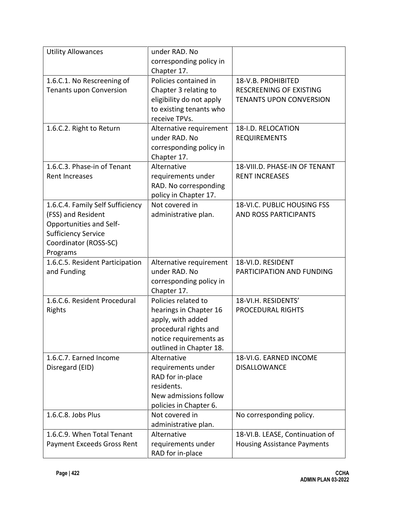| <b>Utility Allowances</b>                                                                                                                            | under RAD. No<br>corresponding policy in                                                                                                         |                                                                                        |
|------------------------------------------------------------------------------------------------------------------------------------------------------|--------------------------------------------------------------------------------------------------------------------------------------------------|----------------------------------------------------------------------------------------|
|                                                                                                                                                      | Chapter 17.                                                                                                                                      |                                                                                        |
| 1.6.C.1. No Rescreening of<br><b>Tenants upon Conversion</b>                                                                                         | Policies contained in<br>Chapter 3 relating to<br>eligibility do not apply<br>to existing tenants who<br>receive TPVs.                           | 18-V.B. PROHIBITED<br><b>RESCREENING OF EXISTING</b><br><b>TENANTS UPON CONVERSION</b> |
| 1.6.C.2. Right to Return                                                                                                                             | Alternative requirement<br>under RAD. No<br>corresponding policy in<br>Chapter 17.                                                               | 18-I.D. RELOCATION<br><b>REQUIREMENTS</b>                                              |
| 1.6.C.3. Phase-in of Tenant<br><b>Rent Increases</b>                                                                                                 | Alternative<br>requirements under<br>RAD. No corresponding<br>policy in Chapter 17.                                                              | 18-VIII.D. PHASE-IN OF TENANT<br><b>RENT INCREASES</b>                                 |
| 1.6.C.4. Family Self Sufficiency<br>(FSS) and Resident<br>Opportunities and Self-<br><b>Sufficiency Service</b><br>Coordinator (ROSS-SC)<br>Programs | Not covered in<br>administrative plan.                                                                                                           | 18-VI.C. PUBLIC HOUSING FSS<br><b>AND ROSS PARTICIPANTS</b>                            |
| 1.6.C.5. Resident Participation<br>and Funding                                                                                                       | Alternative requirement<br>under RAD. No<br>corresponding policy in<br>Chapter 17.                                                               | 18-VI.D. RESIDENT<br>PARTICIPATION AND FUNDING                                         |
| 1.6.C.6. Resident Procedural<br>Rights                                                                                                               | Policies related to<br>hearings in Chapter 16<br>apply, with added<br>procedural rights and<br>notice requirements as<br>outlined in Chapter 18. | 18-VI.H. RESIDENTS'<br><b>PROCEDURAL RIGHTS</b>                                        |
| 1.6.C.7. Earned Income<br>Disregard (EID)                                                                                                            | Alternative<br>requirements under<br>RAD for in-place<br>residents.<br>New admissions follow<br>policies in Chapter 6.                           | 18-VI.G. EARNED INCOME<br><b>DISALLOWANCE</b>                                          |
| 1.6.C.8. Jobs Plus                                                                                                                                   | Not covered in<br>administrative plan.                                                                                                           | No corresponding policy.                                                               |
| 1.6.C.9. When Total Tenant<br><b>Payment Exceeds Gross Rent</b>                                                                                      | Alternative<br>requirements under<br>RAD for in-place                                                                                            | 18-VI.B. LEASE, Continuation of<br><b>Housing Assistance Payments</b>                  |